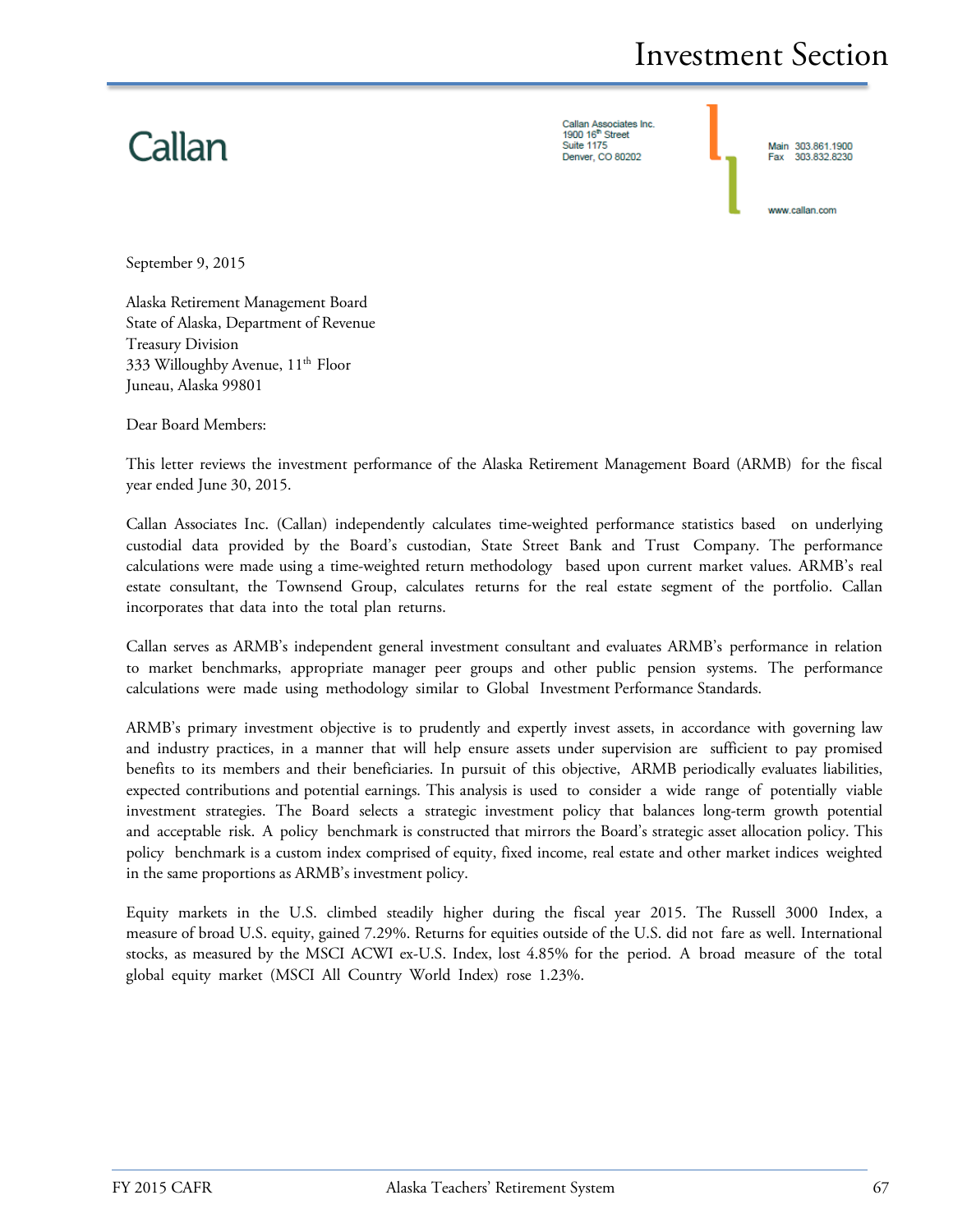# Callan

Callan Associates Inc.<br>1900 16<sup>th</sup> Street **Suite 1175** Denver, CO 80202

Main 303.861.1900 303 832 8230 Fax www.callan.com

September 9, 2015

Alaska Retirement Management Board State of Alaska, Department of Revenue Treasury Division 333 Willoughby Avenue, 11<sup>th</sup> Floor Juneau, Alaska 99801

Dear Board Members:

This letter reviews the investment performance of the Alaska Retirement Management Board (ARMB) for the fiscal year ended June 30, 2015.

Callan Associates Inc. (Callan) independently calculates time-weighted performance statistics based on underlying custodial data provided by the Board's custodian, State Street Bank and Trust Company. The performance calculations were made using a time-weighted return methodology based upon current market values. ARMB's real estate consultant, the Townsend Group, calculates returns for the real estate segment of the portfolio. Callan incorporates that data into the total plan returns.

Callan serves as ARMB's independent general investment consultant and evaluates ARMB's performance in relation to market benchmarks, appropriate manager peer groups and other public pension systems. The performance calculations were made using methodology similar to Global Investment Performance Standards.

ARMB's primary investment objective is to prudently and expertly invest assets, in accordance with governing law and industry practices, in a manner that will help ensure assets under supervision are sufficient to pay promised benefits to its members and their beneficiaries. In pursuit of this objective, ARMB periodically evaluates liabilities, expected contributions and potential earnings. This analysis is used to consider a wide range of potentially viable investment strategies. The Board selects a strategic investment policy that balances long-term growth potential and acceptable risk. A policy benchmark is constructed that mirrors the Board's strategic asset allocation policy. This policy benchmark is a custom index comprised of equity, fixed income, real estate and other market indices weighted in the same proportions as ARMB's investment policy.

Equity markets in the U.S. climbed steadily higher during the fiscal year 2015. The Russell 3000 Index, a measure of broad U.S. equity, gained 7.29%. Returns for equities outside of the U.S. did not fare as well. International stocks, as measured by the MSCI ACWI ex-U.S. Index, lost 4.85% for the period. A broad measure of the total global equity market (MSCI All Country World Index) rose 1.23%.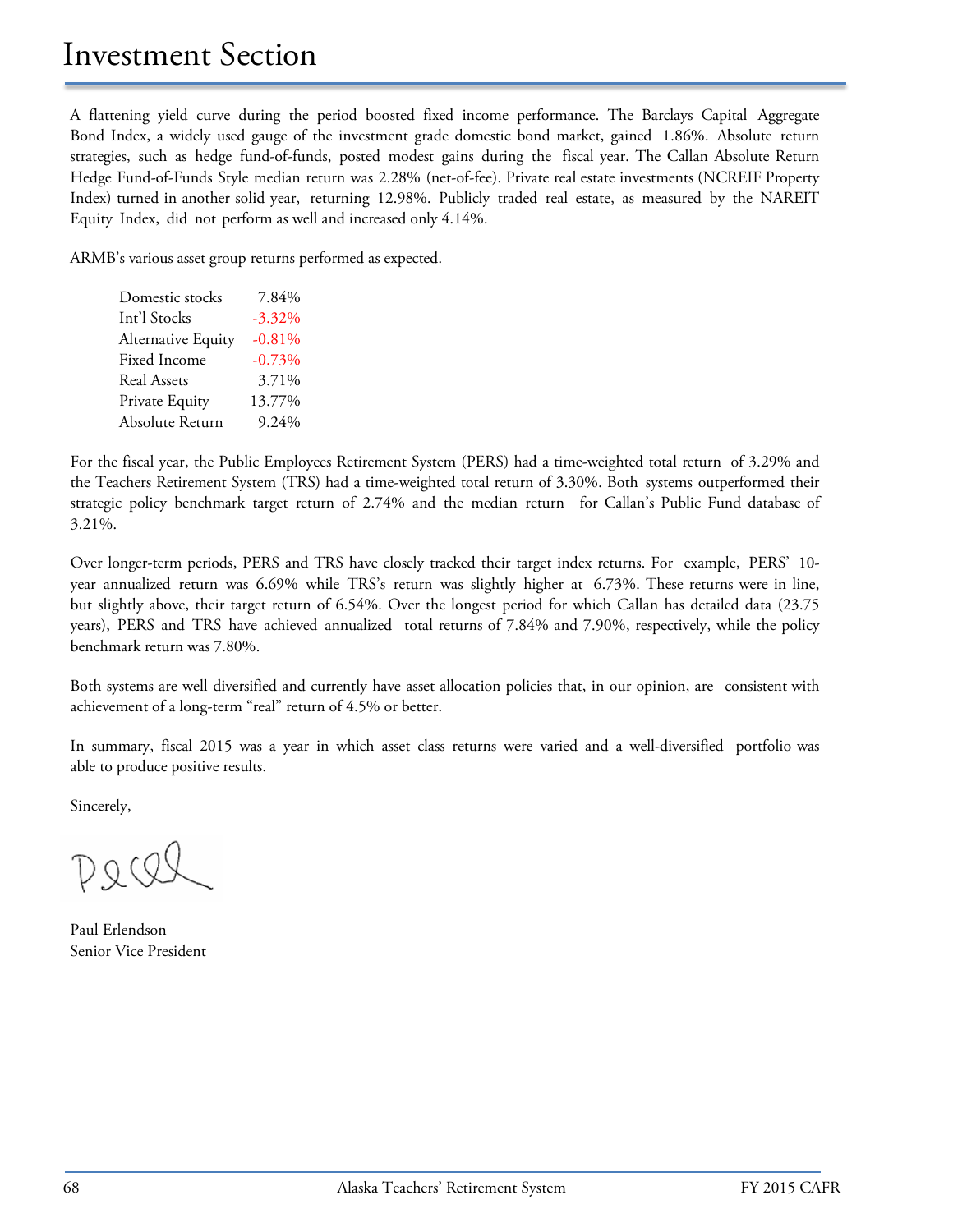A flattening yield curve during the period boosted fixed income performance. The Barclays Capital Aggregate Bond Index, a widely used gauge of the investment grade domestic bond market, gained 1.86%. Absolute return strategies, such as hedge fund-of-funds, posted modest gains during the fiscal year. The Callan Absolute Return Hedge Fund-of-Funds Style median return was 2.28% (net-of-fee). Private real estate investments (NCREIF Property Index) turned in another solid year, returning 12.98%. Publicly traded real estate, as measured by the NAREIT Equity Index, did not perform as well and increased only 4.14%.

ARMB's various asset group returns performed as expected.

| Domestic stocks    | 7.84%     |
|--------------------|-----------|
| Int'l Stocks       | $-3.32\%$ |
| Alternative Equity | $-0.81%$  |
| Fixed Income       | $-0.73%$  |
| <b>Real Assets</b> | 3.71%     |
| Private Equity     | 13.77%    |
| Absolute Return    | 9.24%     |
|                    |           |

For the fiscal year, the Public Employees Retirement System (PERS) had a time-weighted total return of 3.29% and the Teachers Retirement System (TRS) had a time-weighted total return of 3.30%. Both systems outperformed their strategic policy benchmark target return of 2.74% and the median return for Callan's Public Fund database of 3.21%.

Over longer-term periods, PERS and TRS have closely tracked their target index returns. For example, PERS' 10 year annualized return was 6.69% while TRS's return was slightly higher at 6.73%. These returns were in line, but slightly above, their target return of 6.54%. Over the longest period for which Callan has detailed data (23.75 years), PERS and TRS have achieved annualized total returns of 7.84% and 7.90%, respectively, while the policy benchmark return was 7.80%.

Both systems are well diversified and currently have asset allocation policies that, in our opinion, are consistent with achievement of a long-term "real" return of 4.5% or better.

In summary, fiscal 2015 was a year in which asset class returns were varied and a well-diversified portfolio was able to produce positive results.

Sincerely,

 $DQQ$ 

Paul Erlendson Senior Vice President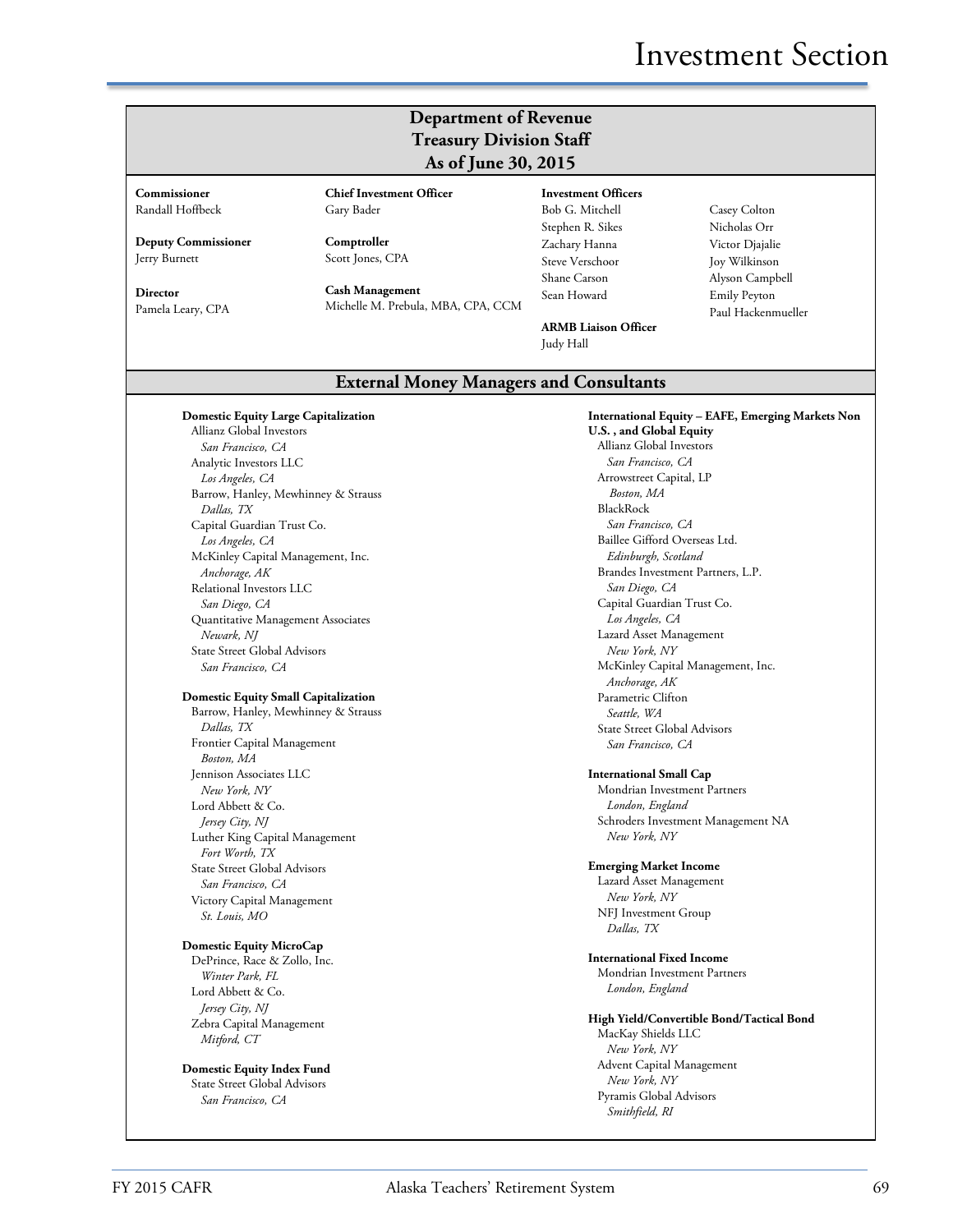# Investment Section

| <b>Department of Revenue</b>   |
|--------------------------------|
| <b>Treasury Division Staff</b> |
| As of June 30, 2015            |

**Commissioner** Randall Hoffbeck

**Deputy Commissioner** Jerry Burnett

**Director** Pamela Leary, CPA **Chief Investment Officer** Gary Bader

**Comptroller** Scott Jones, CPA

**Cash Management** Michelle M. Prebula, MBA, CPA, CCM **Investment Officers** Bob G. Mitchell Stephen R. Sikes Zachary Hanna Steve Verschoor Shane Carson Sean Howard

**ARMB Liaison Officer** Judy Hall

## Casey Colton Nicholas Orr Victor Djajalie Joy Wilkinson Alyson Campbell Emily Peyton Paul Hackenmueller

**External Money Managers and Consultants**

#### **Domestic Equity Large Capitalization**

Allianz Global Investors *San Francisco, CA* Analytic Investors LLC *Los Angeles, CA* Barrow, Hanley, Mewhinney & Strauss *Dallas, TX* Capital Guardian Trust Co. *Los Angeles, CA* McKinley Capital Management, Inc. *Anchorage, AK* Relational Investors LLC *San Diego, CA* Quantitative Management Associates *Newark, NJ* State Street Global Advisors *San Francisco, CA*

## **Domestic Equity Small Capitalization**

Barrow, Hanley, Mewhinney & Strauss *Dallas, TX* Frontier Capital Management *Boston, MA* Jennison Associates LLC *New York, NY* Lord Abbett & Co. *Jersey City, NJ* Luther King Capital Management *Fort Worth, TX* State Street Global Advisors *San Francisco, CA* Victory Capital Management *St. Louis, MO*

## **Domestic Equity MicroCap**

DePrince, Race & Zollo, Inc. *Winter Park, FL* Lord Abbett & Co. *Jersey City, NJ* Zebra Capital Management *Mitford, CT*

**Domestic Equity Index Fund** State Street Global Advisors *San Francisco, CA*

**International Equity – EAFE, Emerging Markets Non U.S. , and Global Equity** Allianz Global Investors *San Francisco, CA* Arrowstreet Capital, LP *Boston, MA* BlackRock *San Francisco, CA* Baillee Gifford Overseas Ltd. *Edinburgh, Scotland* Brandes Investment Partners, L.P. *San Diego, CA* Capital Guardian Trust Co. *Los Angeles, CA* Lazard Asset Management *New York, NY* McKinley Capital Management, Inc. *Anchorage, AK* Parametric Clifton *Seattle, WA* State Street Global Advisors *San Francisco, CA*

## **International Small Cap**

Mondrian Investment Partners *London, England* Schroders Investment Management NA *New York, NY*

#### **Emerging Market Income**

Lazard Asset Management *New York, NY* NFJ Investment Group *Dallas, TX*

## **International Fixed Income**

Mondrian Investment Partners *London, England*

## **High Yield/Convertible Bond/Tactical Bond**

MacKay Shields LLC *New York, NY* Advent Capital Management *New York, NY* Pyramis Global Advisors *Smithfield, RI*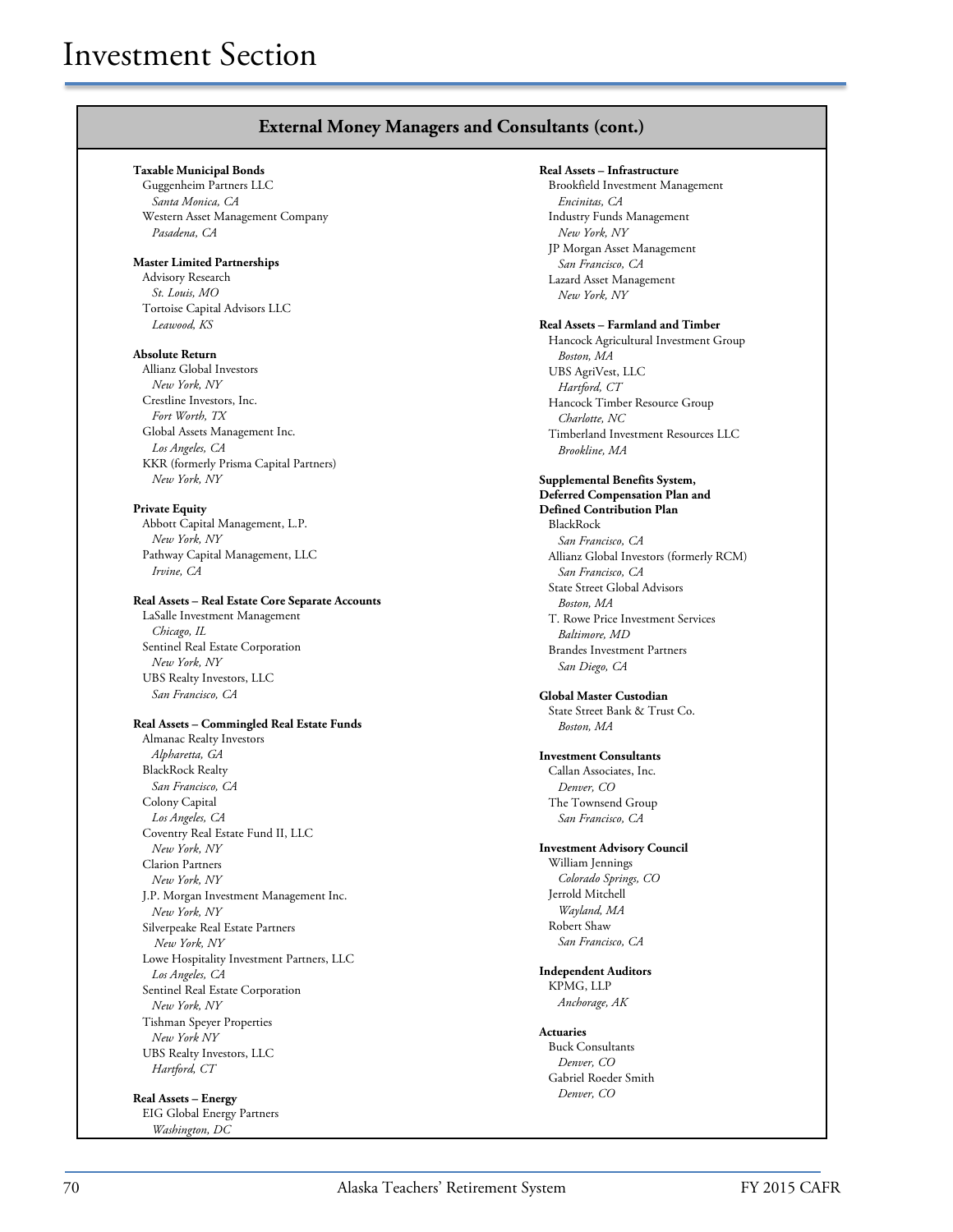## **External Money Managers and Consultants (cont.)**

## **Taxable Municipal Bonds**

Guggenheim Partners LLC *Santa Monica, CA* Western Asset Management Company *Pasadena, CA*

#### **Master Limited Partnerships**

Advisory Research *St. Louis, MO* Tortoise Capital Advisors LLC *Leawood, KS*

## **Absolute Return**

Allianz Global Investors *New York, NY* Crestline Investors, Inc. *Fort Worth, TX* Global Assets Management Inc. *Los Angeles, CA* KKR (formerly Prisma Capital Partners) *New York, NY*

## **Private Equity**

Abbott Capital Management, L.P. *New York, NY* Pathway Capital Management, LLC *Irvine, CA*

## **Real Assets – Real Estate Core Separate Accounts**

LaSalle Investment Management *Chicago, IL* Sentinel Real Estate Corporation *New York, NY* UBS Realty Investors, LLC *San Francisco, CA*

## **Real Assets – Commingled Real Estate Funds**

Almanac Realty Investors *Alpharetta, GA* BlackRock Realty *San Francisco, CA* Colony Capital *Los Angeles, CA* Coventry Real Estate Fund II, LLC *New York, NY* Clarion Partners *New York, NY* J.P. Morgan Investment Management Inc. *New York, NY* Silverpeake Real Estate Partners *New York, NY* Lowe Hospitality Investment Partners, LLC *Los Angeles, CA* Sentinel Real Estate Corporation *New York, NY* Tishman Speyer Properties *New York NY* UBS Realty Investors, LLC *Hartford, CT*

**Real Assets – Energy** EIG Global Energy Partners *Washington, DC*

#### **Real Assets – Infrastructure**

Brookfield Investment Management *Encinitas, CA* Industry Funds Management *New York, NY* JP Morgan Asset Management *San Francisco, CA* Lazard Asset Management *New York, NY*

## **Real Assets – Farmland and Timber**

Hancock Agricultural Investment Group *Boston, MA* UBS AgriVest, LLC *Hartford, CT* Hancock Timber Resource Group *Charlotte, NC* Timberland Investment Resources LLC *Brookline, MA*

#### **Supplemental Benefits System, Deferred Compensation Plan and**

**Defined Contribution Plan** BlackRock *San Francisco, CA* Allianz Global Investors (formerly RCM) *San Francisco, CA* State Street Global Advisors *Boston, MA* T. Rowe Price Investment Services *Baltimore, MD* Brandes Investment Partners *San Diego, CA* 

## **Global Master Custodian**

State Street Bank & Trust Co. *Boston, MA*

#### **Investment Consultants**

Callan Associates, Inc. *Denver, CO* The Townsend Group *San Francisco, CA*

## **Investment Advisory Council**

William Jennings *Colorado Springs, CO* Jerrold Mitchell *Wayland, MA* Robert Shaw *San Francisco, CA*

## **Independent Auditors**

KPMG, LLP *Anchorage, AK*

## **Actuaries**

Buck Consultants *Denver, CO* Gabriel Roeder Smith *Denver, CO*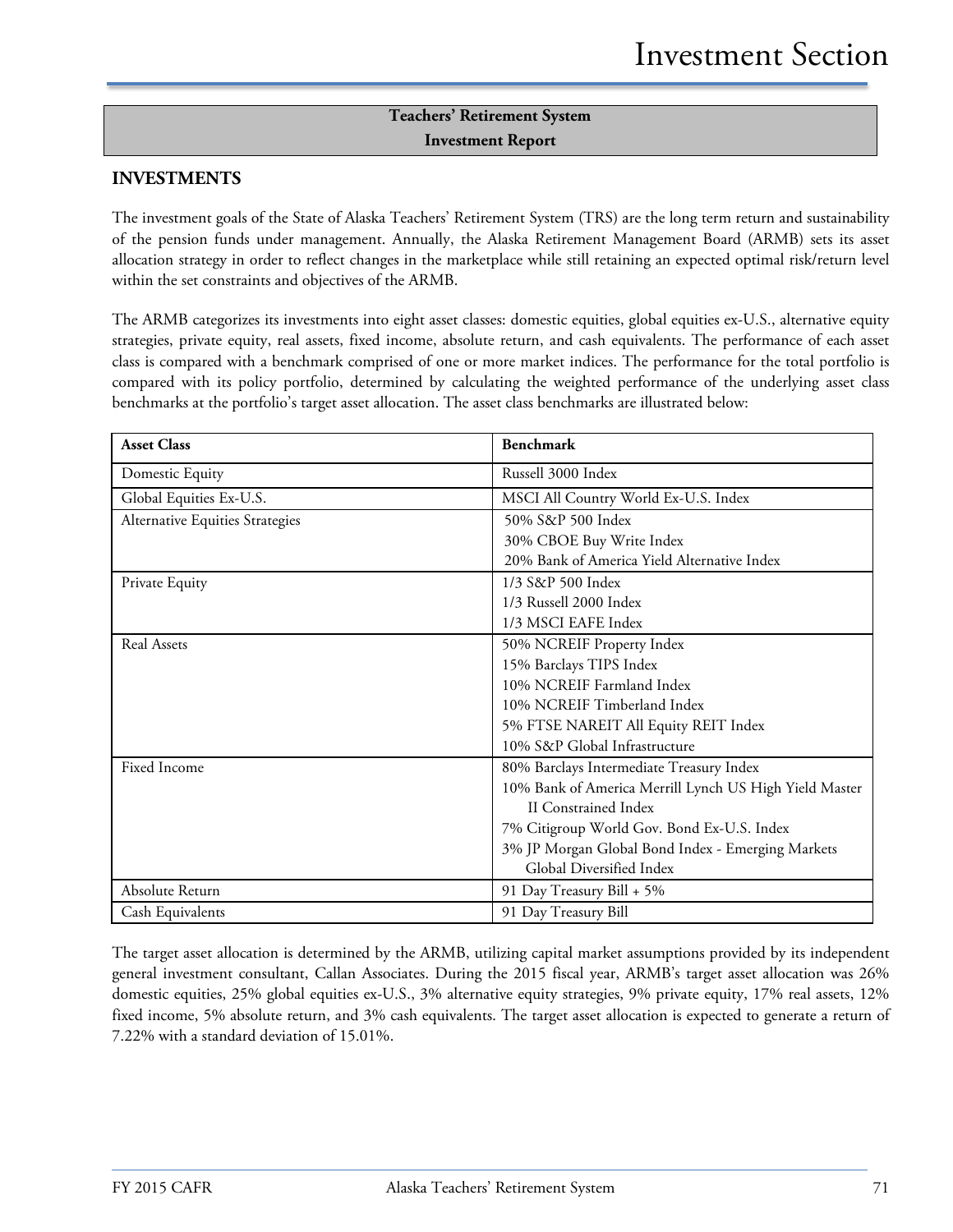# **Teachers' Retirement System Investment Report**

## **INVESTMENTS**

The investment goals of the State of Alaska Teachers' Retirement System (TRS) are the long term return and sustainability of the pension funds under management. Annually, the Alaska Retirement Management Board (ARMB) sets its asset allocation strategy in order to reflect changes in the marketplace while still retaining an expected optimal risk/return level within the set constraints and objectives of the ARMB.

The ARMB categorizes its investments into eight asset classes: domestic equities, global equities ex-U.S., alternative equity strategies, private equity, real assets, fixed income, absolute return, and cash equivalents. The performance of each asset class is compared with a benchmark comprised of one or more market indices. The performance for the total portfolio is compared with its policy portfolio, determined by calculating the weighted performance of the underlying asset class benchmarks at the portfolio's target asset allocation. The asset class benchmarks are illustrated below:

| <b>Asset Class</b>              | <b>Benchmark</b>                                       |
|---------------------------------|--------------------------------------------------------|
| Domestic Equity                 | Russell 3000 Index                                     |
| Global Equities Ex-U.S.         | MSCI All Country World Ex-U.S. Index                   |
| Alternative Equities Strategies | 50% S&P 500 Index                                      |
|                                 | 30% CBOE Buy Write Index                               |
|                                 | 20% Bank of America Yield Alternative Index            |
| Private Equity                  | 1/3 S&P 500 Index                                      |
|                                 | 1/3 Russell 2000 Index                                 |
|                                 | 1/3 MSCI EAFE Index                                    |
| <b>Real Assets</b>              | 50% NCREIF Property Index                              |
|                                 | 15% Barclays TIPS Index                                |
|                                 | 10% NCREIF Farmland Index                              |
|                                 | 10% NCREIF Timberland Index                            |
|                                 | 5% FTSE NAREIT All Equity REIT Index                   |
|                                 | 10% S&P Global Infrastructure                          |
| Fixed Income                    | 80% Barclays Intermediate Treasury Index               |
|                                 | 10% Bank of America Merrill Lynch US High Yield Master |
|                                 | <b>II</b> Constrained Index                            |
|                                 | 7% Citigroup World Gov. Bond Ex-U.S. Index             |
|                                 | 3% JP Morgan Global Bond Index - Emerging Markets      |
|                                 | Global Diversified Index                               |
| Absolute Return                 | 91 Day Treasury Bill + 5%                              |
| Cash Equivalents                | 91 Day Treasury Bill                                   |

The target asset allocation is determined by the ARMB, utilizing capital market assumptions provided by its independent general investment consultant, Callan Associates. During the 2015 fiscal year, ARMB's target asset allocation was 26% domestic equities, 25% global equities ex-U.S., 3% alternative equity strategies, 9% private equity, 17% real assets, 12% fixed income, 5% absolute return, and 3% cash equivalents. The target asset allocation is expected to generate a return of 7.22% with a standard deviation of 15.01%.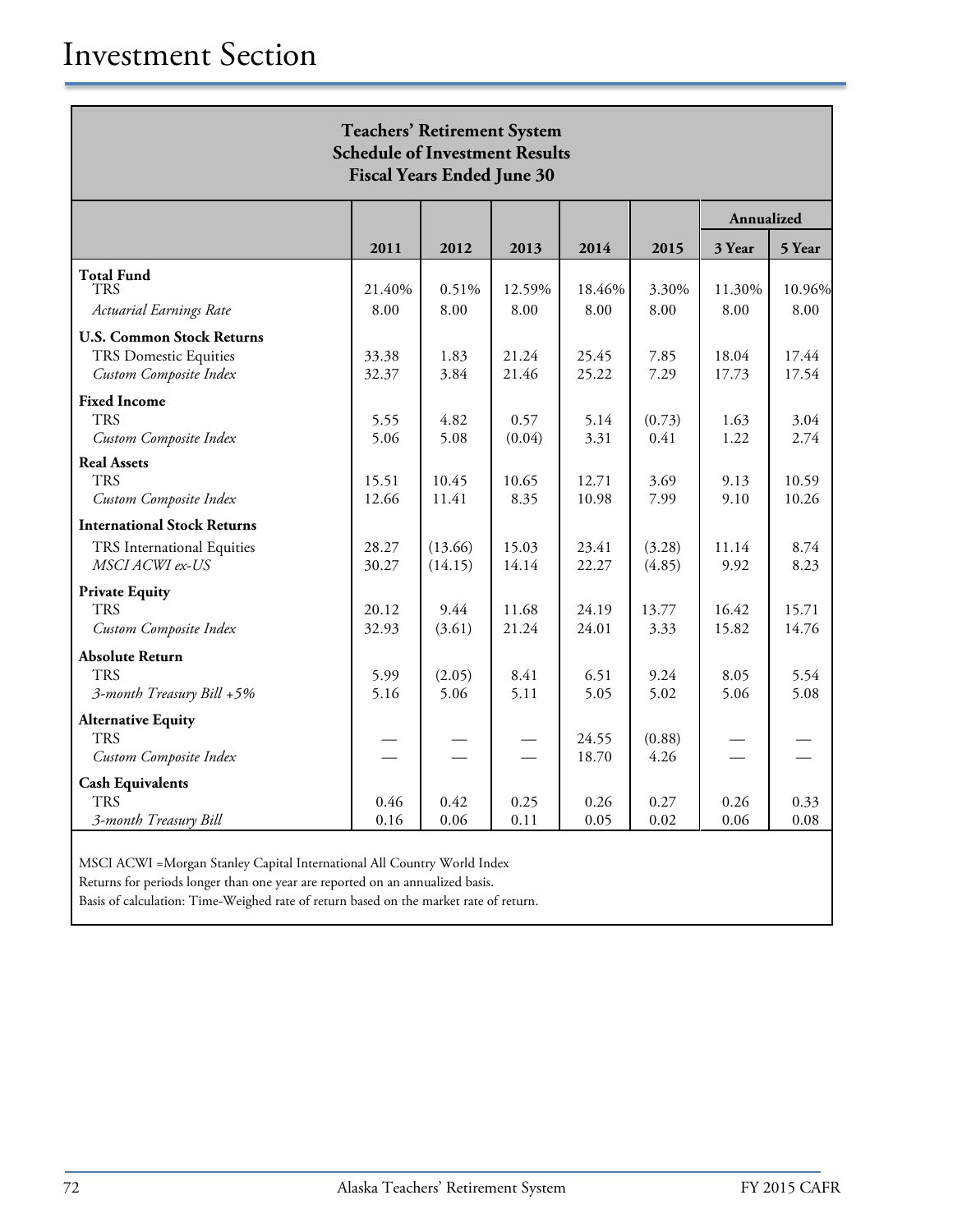| <b>Teachers' Retirement System</b><br><b>Schedule of Investment Results</b><br><b>Fiscal Years Ended June 30</b> |                |                    |                |                |                  |                |                |
|------------------------------------------------------------------------------------------------------------------|----------------|--------------------|----------------|----------------|------------------|----------------|----------------|
|                                                                                                                  |                |                    |                |                |                  | Annualized     |                |
|                                                                                                                  | 2011           | 2012               | 2013           | 2014           | 2015             | 3 Year         | 5 Year         |
| <b>Total Fund</b><br><b>TRS</b>                                                                                  | 21.40%         | 0.51%              | 12.59%         | 18.46%         | 3.30%            | 11.30%         | 10.96%         |
| Actuarial Earnings Rate                                                                                          | 8.00           | 8.00               | 8.00           | 8.00           | 8.00             | 8.00           | 8.00           |
| <b>U.S. Common Stock Returns</b><br>TRS Domestic Equities<br>Custom Composite Index                              | 33.38<br>32.37 | 1.83<br>3.84       | 21.24<br>21.46 | 25.45<br>25.22 | 7.85<br>7.29     | 18.04<br>17.73 | 17.44<br>17.54 |
| <b>Fixed Income</b><br><b>TRS</b><br>Custom Composite Index                                                      | 5.55<br>5.06   | 4.82<br>5.08       | 0.57<br>(0.04) | 5.14<br>3.31   | (0.73)<br>0.41   | 1.63<br>1.22   | 3.04<br>2.74   |
| <b>Real Assets</b><br><b>TRS</b><br>Custom Composite Index                                                       | 15.51<br>12.66 | 10.45<br>11.41     | 10.65<br>8.35  | 12.71<br>10.98 | 3.69<br>7.99     | 9.13<br>9.10   | 10.59<br>10.26 |
| <b>International Stock Returns</b>                                                                               |                |                    |                |                |                  |                |                |
| TRS International Equities<br>MSCI ACWI ex-US                                                                    | 28.27<br>30.27 | (13.66)<br>(14.15) | 15.03<br>14.14 | 23.41<br>22.27 | (3.28)<br>(4.85) | 11.14<br>9.92  | 8.74<br>8.23   |
| <b>Private Equity</b><br><b>TRS</b>                                                                              | 20.12          | 9.44               | 11.68          | 24.19          | 13.77            | 16.42          | 15.71          |
| Custom Composite Index                                                                                           | 32.93          | (3.61)             | 21.24          | 24.01          | 3.33             | 15.82          | 14.76          |
| <b>Absolute Return</b><br><b>TRS</b><br>3-month Treasury Bill +5%                                                | 5.99<br>5.16   | (2.05)<br>5.06     | 8.41<br>5.11   | 6.51<br>5.05   | 9.24<br>5.02     | 8.05<br>5.06   | 5.54<br>5.08   |
| <b>Alternative Equity</b><br><b>TRS</b><br>Custom Composite Index                                                |                |                    |                | 24.55<br>18.70 | (0.88)<br>4.26   |                |                |
| <b>Cash Equivalents</b><br><b>TRS</b><br>3-month Treasury Bill                                                   | 0.46<br>0.16   | 0.42<br>0.06       | 0.25<br>0.11   | 0.26<br>0.05   | 0.27<br>0.02     | 0.26<br>0.06   | 0.33<br>0.08   |

MSCI ACWI =Morgan Stanley Capital International All Country World Index

Returns for periods longer than one year are reported on an annualized basis.

Basis of calculation: Time-Weighed rate of return based on the market rate of return.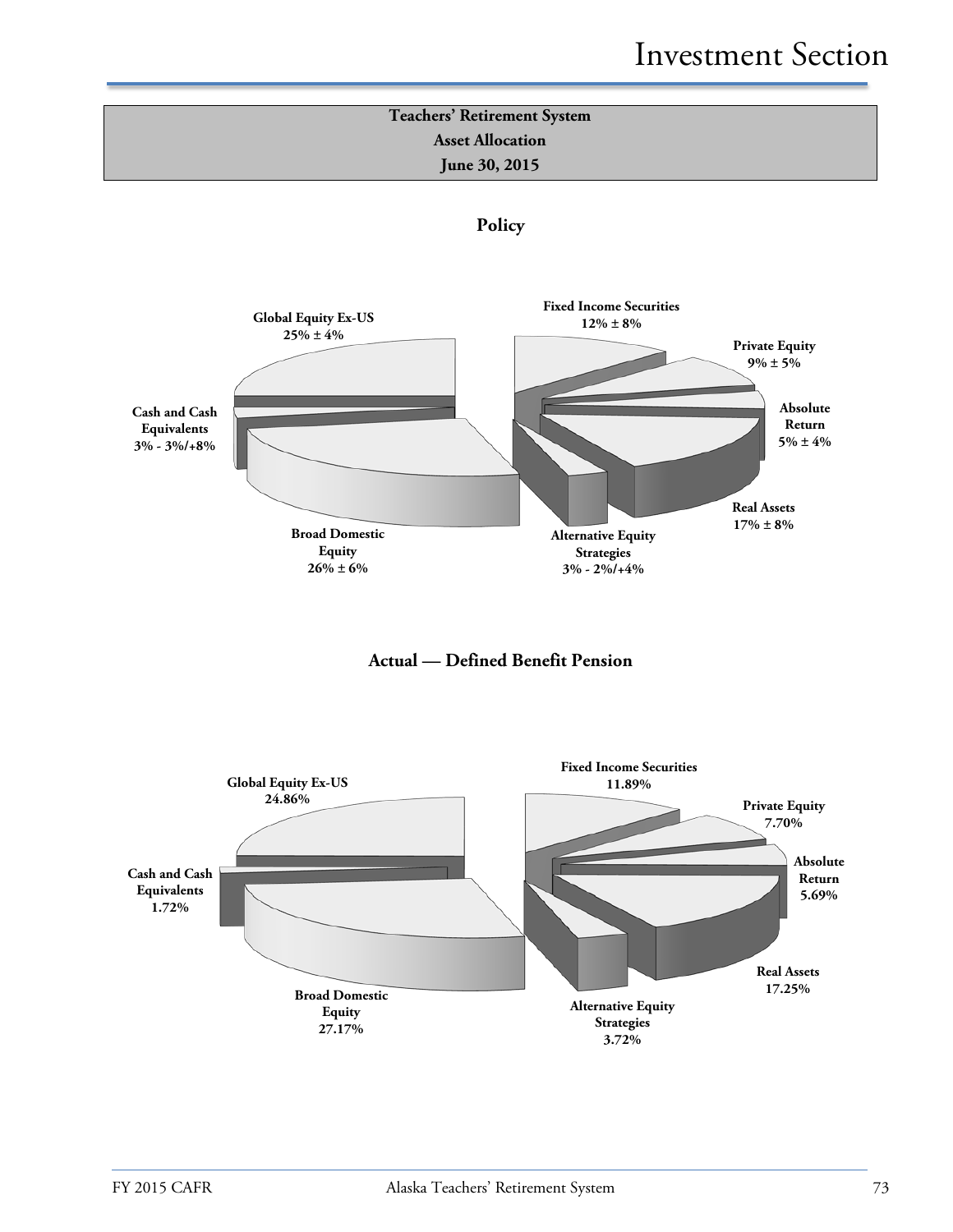# **Teachers' Retirement System Asset Allocation June 30, 2015**



**Policy**

**Actual — Defined Benefit Pension**

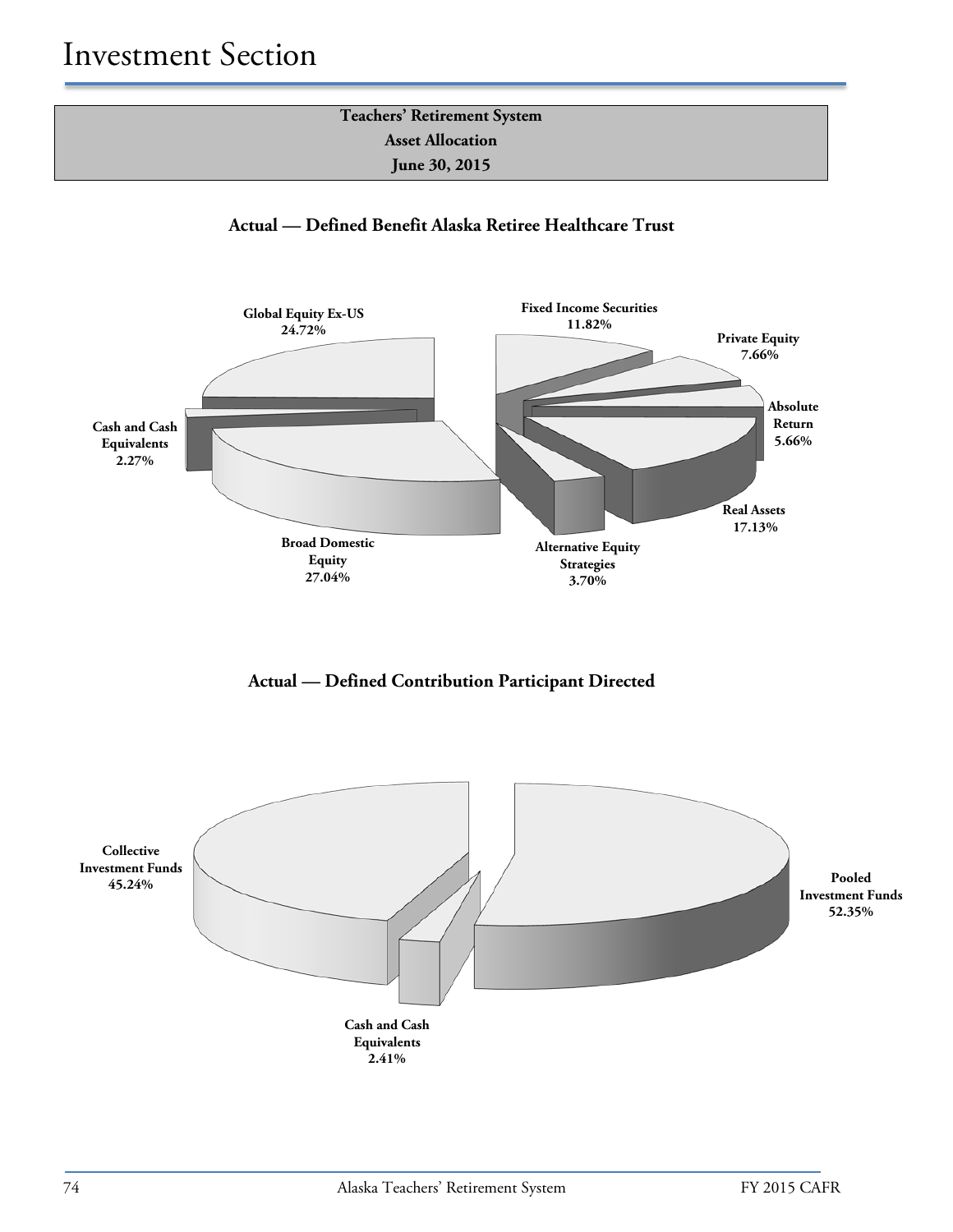

**Actual — Defined Benefit Alaska Retiree Healthcare Trust**



**Actual — Defined Contribution Participant Directed**

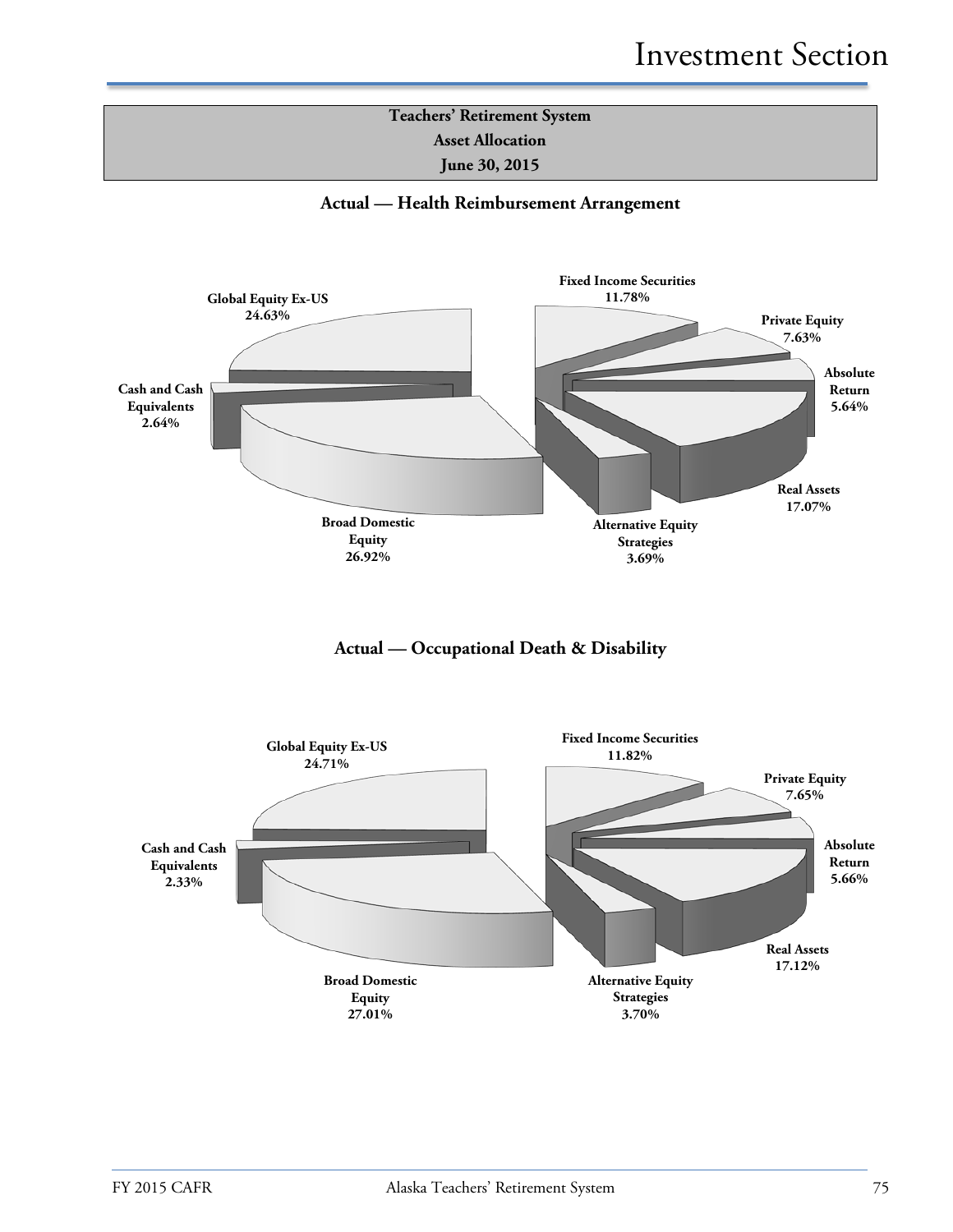# **Teachers' Retirement System Asset Allocation June 30, 2015**

**Actual — Health Reimbursement Arrangement**



# **Actual — Occupational Death & Disability**

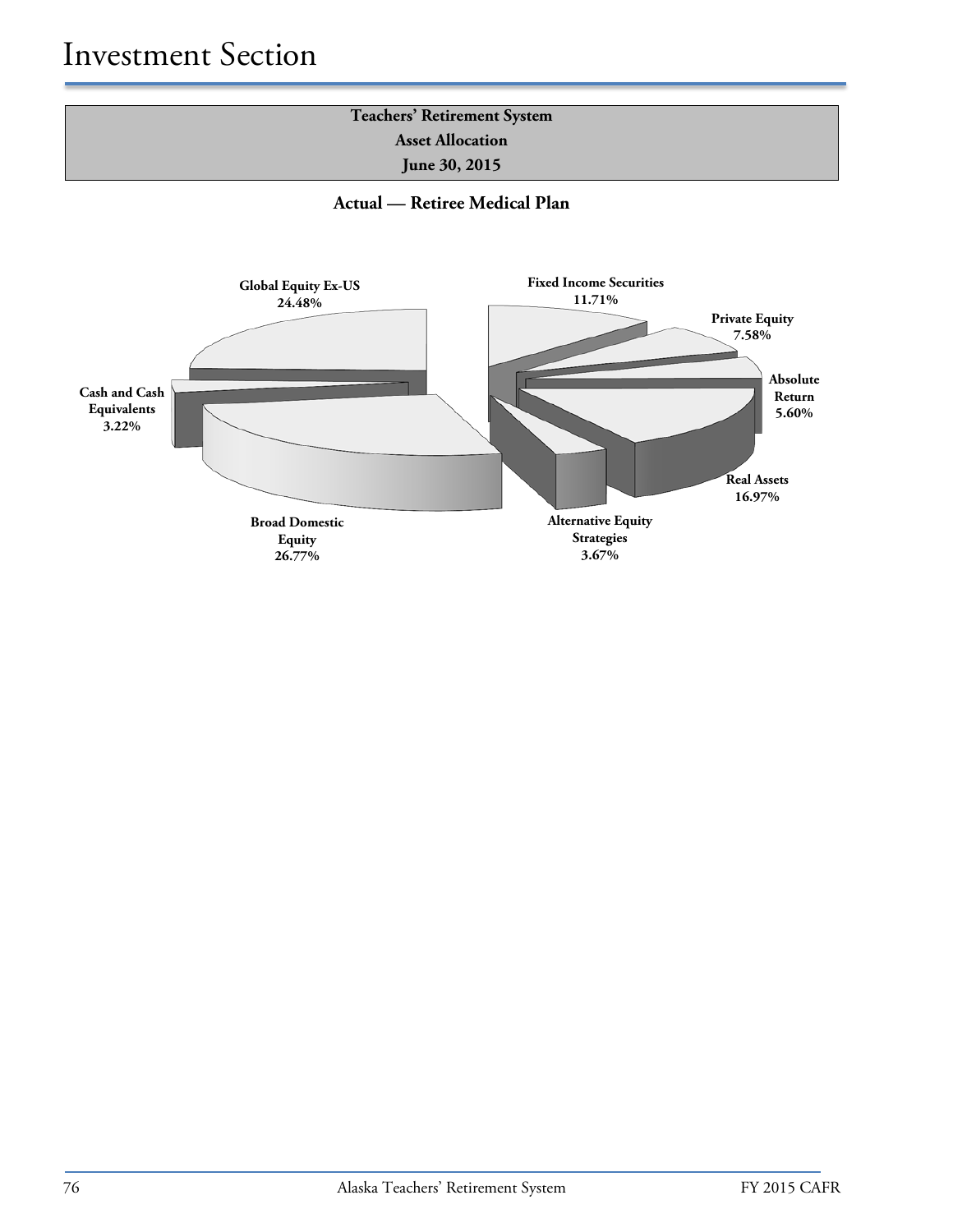



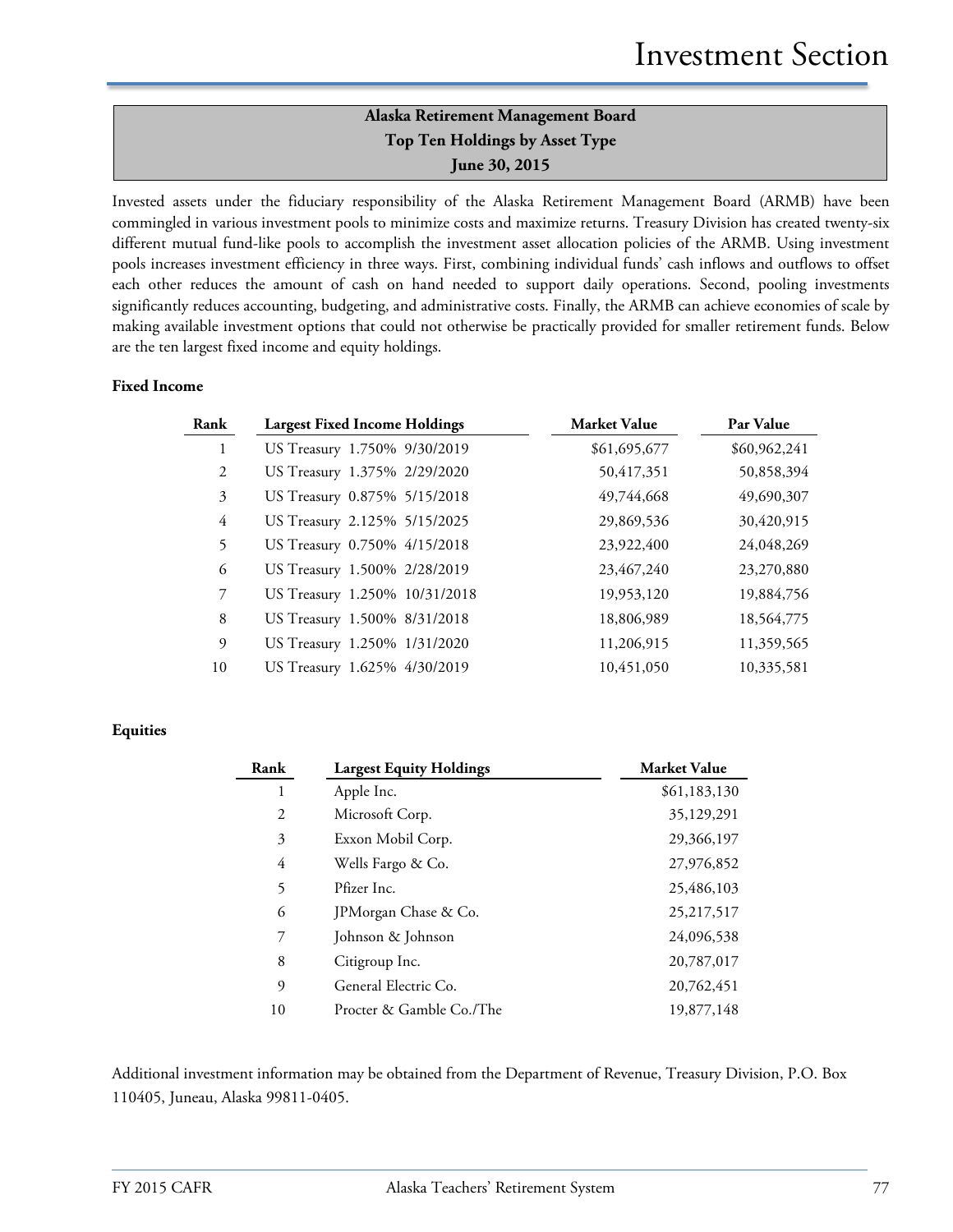# **Alaska Retirement Management Board Top Ten Holdings by Asset Type June 30, 2015**

Invested assets under the fiduciary responsibility of the Alaska Retirement Management Board (ARMB) have been commingled in various investment pools to minimize costs and maximize returns. Treasury Division has created twenty-six different mutual fund-like pools to accomplish the investment asset allocation policies of the ARMB. Using investment pools increases investment efficiency in three ways. First, combining individual funds' cash inflows and outflows to offset each other reduces the amount of cash on hand needed to support daily operations. Second, pooling investments significantly reduces accounting, budgeting, and administrative costs. Finally, the ARMB can achieve economies of scale by making available investment options that could not otherwise be practically provided for smaller retirement funds. Below are the ten largest fixed income and equity holdings.

## **Fixed Income**

| Rank           | <b>Largest Fixed Income Holdings</b> | <b>Market Value</b> | Par Value    |
|----------------|--------------------------------------|---------------------|--------------|
| 1              | US Treasury 1.750% 9/30/2019         | \$61,695,677        | \$60,962,241 |
| 2              | US Treasury 1.375% 2/29/2020         | 50,417,351          | 50,858,394   |
| 3              | US Treasury 0.875% 5/15/2018         | 49,744,668          | 49,690,307   |
| $\overline{4}$ | US Treasury 2.125% 5/15/2025         | 29,869,536          | 30,420,915   |
| 5              | US Treasury 0.750% 4/15/2018         | 23,922,400          | 24,048,269   |
| 6              | US Treasury 1.500% 2/28/2019         | 23,467,240          | 23,270,880   |
| 7              | US Treasury 1.250% 10/31/2018        | 19,953,120          | 19,884,756   |
| 8              | US Treasury 1.500% 8/31/2018         | 18,806,989          | 18,564,775   |
| 9              | US Treasury 1.250% 1/31/2020         | 11,206,915          | 11,359,565   |
| 10             | US Treasury 1.625% 4/30/2019         | 10,451,050          | 10,335,581   |

## **Equities**

| Rank | <b>Largest Equity Holdings</b> | <b>Market Value</b> |
|------|--------------------------------|---------------------|
| 1    | Apple Inc.                     | \$61,183,130        |
| 2    | Microsoft Corp.                | 35,129,291          |
| 3    | Exxon Mobil Corp.              | 29,366,197          |
| 4    | Wells Fargo & Co.              | 27,976,852          |
| 5    | Pfizer Inc.                    | 25,486,103          |
| 6    | JPMorgan Chase & Co.           | 25, 217, 517        |
| 7    | Johnson & Johnson              | 24,096,538          |
| 8    | Citigroup Inc.                 | 20,787,017          |
| 9    | General Electric Co.           | 20,762,451          |
| 10   | Procter & Gamble Co./The       | 19,877,148          |

Additional investment information may be obtained from the Department of Revenue, Treasury Division, P.O. Box 110405, Juneau, Alaska 99811-0405.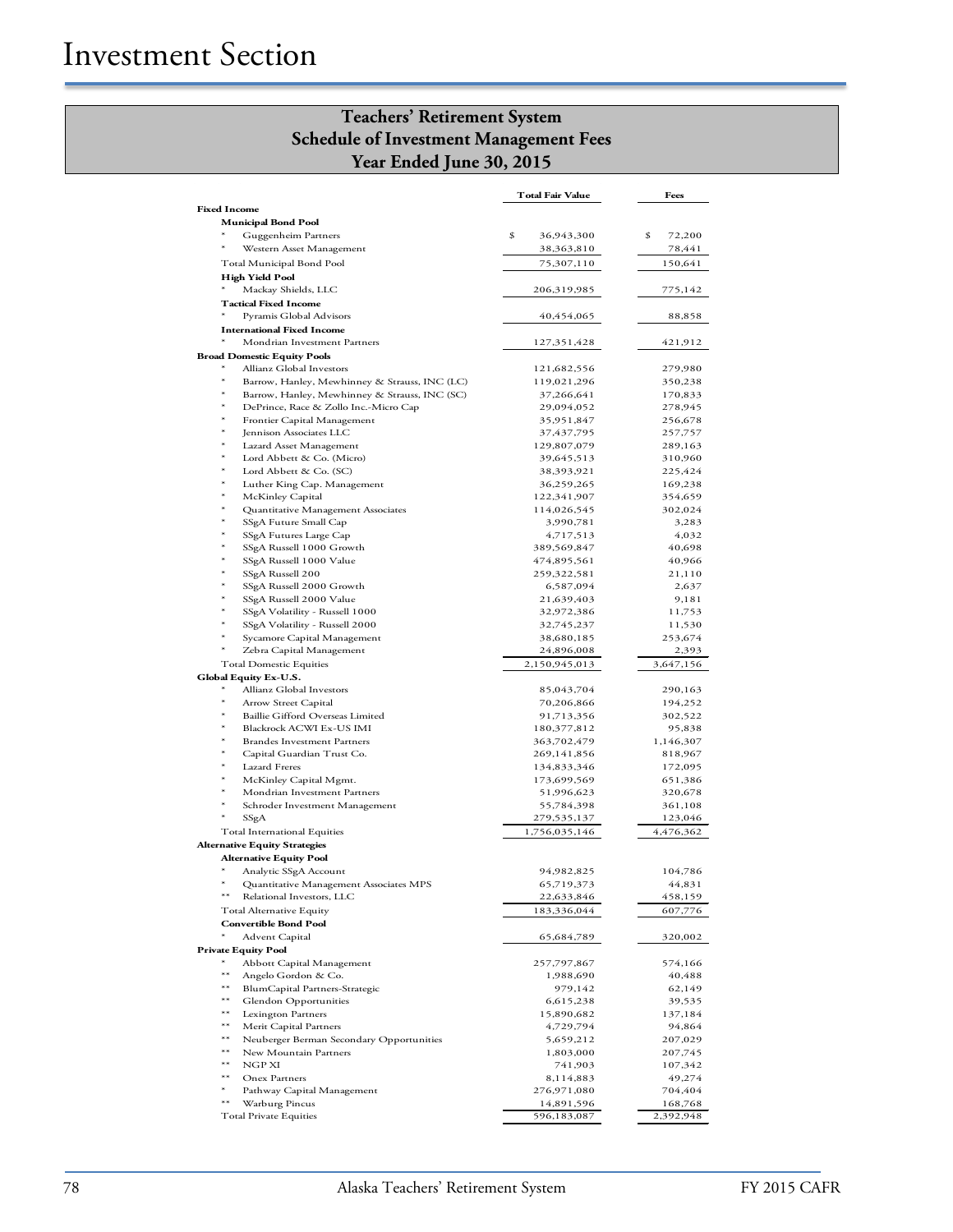# **Teachers' Retirement System Schedule of Investment Management Fees Year Ended June 30, 2015**

|                                                                 | <b>Total Fair Value</b>    | Fees                   |
|-----------------------------------------------------------------|----------------------------|------------------------|
| <b>Fixed Income</b>                                             |                            |                        |
| <b>Municipal Bond Pool</b>                                      |                            |                        |
| $\ast$<br>Guggenheim Partners<br>Western Asset Management       | \$<br>36,943,300           | \$<br>72,200<br>78,441 |
|                                                                 | 38,363,810                 |                        |
| Total Municipal Bond Pool<br><b>High Yield Pool</b>             | 75,307,110                 | 150,641                |
| $\ast$<br>Mackay Shields, LLC                                   | 206,319,985                | 775,142                |
| <b>Tactical Fixed Income</b>                                    |                            |                        |
| Pyramis Global Advisors                                         | 40,454,065                 | 88,858                 |
| <b>International Fixed Income</b>                               |                            |                        |
| Mondrian Investment Partners                                    | 127,351,428                | 421,912                |
| <b>Broad Domestic Equity Pools</b><br>Allianz Global Investors  |                            |                        |
| $\ast$<br>Barrow, Hanley, Mewhinney & Strauss, INC (LC)         | 121,682,556<br>119,021,296 | 279,980<br>350,238     |
| $\ast$<br>Barrow, Hanley, Mewhinney & Strauss, INC (SC)         | 37,266,641                 | 170,833                |
| $\ast$<br>DePrince, Race & Zollo Inc.-Micro Cap                 | 29,094,052                 | 278,945                |
| $\ast$<br>Frontier Capital Management                           | 35,951,847                 | 256,678                |
| $\ast$<br>Jennison Associates LLC                               | 37,437,795                 | 257,757                |
| $\ast$<br>Lazard Asset Management<br>$\ast$                     | 129,807,079                | 289,163                |
| Lord Abbett & Co. (Micro)<br>$\ast$<br>Lord Abbett & Co. (SC)   | 39,645,513<br>38,393,921   | 310,960<br>225,424     |
| $^{\ast}$<br>Luther King Cap. Management                        | 36,259,265                 | 169,238                |
| $\ast$<br>McKinley Capital                                      | 122,341,907                | 354,659                |
| $\ast$<br>Quantitative Management Associates                    | 114,026,545                | 302,024                |
| $\ast$<br>SSgA Future Small Cap                                 | 3,990,781                  | 3,283                  |
| $\ast$<br>SSgA Futures Large Cap                                | 4,717,513                  | 4,032                  |
| $\ast$<br>SSgA Russell 1000 Growth<br>$\ast$                    | 389,569,847                | 40,698                 |
| SSgA Russell 1000 Value<br>$\ast$<br>SSgA Russell 200           | 474,895,561<br>259,322,581 | 40,966<br>21,110       |
| $\ast$<br>SSgA Russell 2000 Growth                              | 6,587,094                  | 2,637                  |
| $\ast$<br>SSgA Russell 2000 Value                               | 21,639,403                 | 9,181                  |
| $^{\ast}$<br>SSgA Volatility - Russell 1000                     | 32,972,386                 | 11,753                 |
| $\ast$<br>SSgA Volatility - Russell 2000                        | 32,745,237                 | 11,530                 |
| $\ast$<br>Sycamore Capital Management<br>$\ast$                 | 38,680,185                 | 253,674                |
| Zebra Capital Management                                        | 24,896,008                 | 2,393                  |
| <b>Total Domestic Equities</b><br>Global Equity Ex-U.S.         | 2,150,945,013              | 3,647,156              |
| $\ast$<br>Allianz Global Investors                              | 85,043,704                 | 290,163                |
| $\ast$<br><b>Arrow Street Capital</b>                           | 70,206,866                 | 194,252                |
| $\ast$<br><b>Baillie Gifford Overseas Limited</b>               | 91,713,356                 | 302,522                |
| $\ast$<br>Blackrock ACWI Ex-US IMI                              | 180,377,812                | 95,838                 |
| $\ast$<br><b>Brandes Investment Partners</b><br>$\ast$          | 363,702,479                | 1,146,307              |
| Capital Guardian Trust Co.<br>$\ast$<br>Lazard Freres           | 269,141,856                | 818,967                |
| $^{\ast}$<br>McKinley Capital Mgmt.                             | 134,833,346<br>173,699,569 | 172,095<br>651,386     |
| $\ast$<br>Mondrian Investment Partners                          | 51,996,623                 | 320,678                |
| $\ast$<br>Schroder Investment Management                        | 55,784,398                 | 361,108                |
| $\ast$<br>SSgA                                                  | 279,535,137                | 123,046                |
| Total International Equities                                    | 1,756,035,146              | 4,476,362              |
| <b>Alternative Equity Strategies</b>                            |                            |                        |
| <b>Alternative Equity Pool</b>                                  |                            |                        |
| Analytic SSgA Account<br>Quantitative Management Associates MPS | 94,982,825<br>65,719,373   | 104,786<br>44,831      |
| $***$<br>Relational Investors, LLC                              | 22,633,846                 | 458,159                |
| <b>Total Alternative Equity</b>                                 | 183,336,044                | 607,776                |
| <b>Convertible Bond Pool</b>                                    |                            |                        |
| Advent Capital                                                  | 65,684,789                 | 320,002                |
| <b>Private Equity Pool</b>                                      |                            |                        |
| $\ast$<br>Abbott Capital Management<br>$**$                     | 257,797,867                | 574,166                |
| Angelo Gordon & Co.<br>$**$                                     | 1,988,690                  | 40,488                 |
| BlumCapital Partners-Strategic<br>$**$<br>Glendon Opportunities | 979,142<br>6,615,238       | 62,149<br>39,535       |
| $**$<br>Lexington Partners                                      | 15,890,682                 | 137,184                |
| $**$<br>Merit Capital Partners                                  | 4,729,794                  | 94,864                 |
| $**$<br>Neuberger Berman Secondary Opportunities                | 5,659,212                  | 207,029                |
| $***$<br>New Mountain Partners                                  | 1,803,000                  | 207,745                |
| $**$<br>NGP XI<br>$**$                                          | 741,903                    | 107,342                |
| Onex Partners<br>$*$<br>Pathway Capital Management              | 8,114,883<br>276,971,080   | 49,274<br>704,404      |
| $***$<br>Warburg Pincus                                         | 14,891,596                 | 168,768                |
| <b>Total Private Equities</b>                                   | 596,183,087                | 2,392,948              |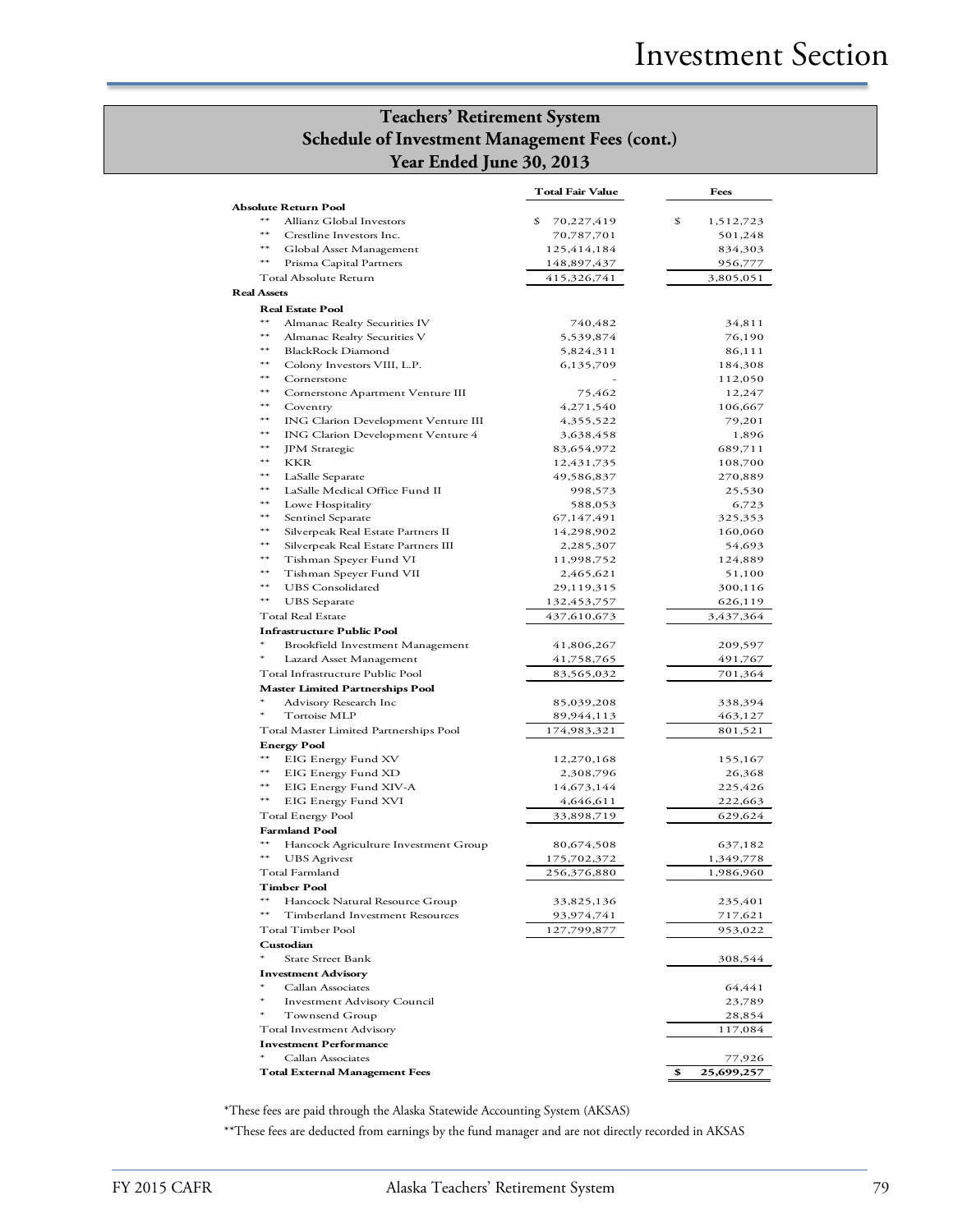# **Teachers' Retirement System Schedule of Investment Management Fees (cont.) Year Ended June 30, 2013**

|                                                            | Total Fair Value         | Fees              |
|------------------------------------------------------------|--------------------------|-------------------|
| Absolute Return Pool                                       |                          |                   |
| $**$<br>Allianz Global Investors                           | \$<br>70,227,419         | \$<br>1,512,723   |
| $**$<br>Crestline Investors Inc.                           | 70,787,701               | 501,248           |
| $**$<br>Global Asset Management                            | 125,414,184              | 834,303           |
| $**$<br>Prisma Capital Partners                            | 148,897,437              | 956,777           |
| Total Absolute Return                                      | 415,326,741              | 3,805,051         |
| <b>Real Assets</b>                                         |                          |                   |
| <b>Real Estate Pool</b><br>$**$                            |                          |                   |
| Almanac Realty Securities IV<br>$**$                       | 740,482                  | 34,811            |
| Almanac Realty Securities V<br>**                          | 5,539,874                | 76,190            |
| <b>BlackRock Diamond</b><br>$**$                           | 5,824,311                | 86,111            |
| Colony Investors VIII, L.P.<br>$**$                        | 6,135,709                | 184,308           |
| Cornerstone<br>$**$                                        |                          | 112,050           |
| Cornerstone Apartment Venture III<br>$**$                  | 75,462                   | 12,247            |
| Coventry<br>$**$                                           | 4,271,540                | 106,667           |
| ING Clarion Development Venture III<br>$**$                | 4,355,522                | 79,201            |
| ING Clarion Development Venture 4<br>$**$                  | 3,638,458                | 1,896             |
| <b>JPM</b> Strategic<br>$**$<br>KKR                        | 83,654,972               | 689,711           |
| $**$                                                       | 12,431,735<br>49,586,837 | 108,700           |
| LaSalle Separate<br>$**$<br>LaSalle Medical Office Fund II | 998,573                  | 270,889<br>25,530 |
| $**$<br>Lowe Hospitality                                   | 588,053                  | 6,723             |
| $**$<br>Sentinel Separate                                  | 67,147,491               | 325,353           |
| $**$<br>Silverpeak Real Estate Partners II                 | 14,298,902               | 160,060           |
| $**$<br>Silverpeak Real Estate Partners III                | 2,285,307                | 54,693            |
| $**$<br>Tishman Speyer Fund VI                             | 11,998,752               | 124,889           |
| $**$<br>Tishman Speyer Fund VII                            | 2,465,621                | 51,100            |
| $**$<br><b>UBS</b> Consolidated                            | 29,119,315               | 300,116           |
| $**$<br><b>UBS</b> Separate                                | 132,453,757              | 626,119           |
| <b>Total Real Estate</b>                                   | 437,610,673              | 3,437,364         |
| <b>Infrastructure Public Pool</b>                          |                          |                   |
| $\ast$<br>Brookfield Investment Management                 | 41,806,267               | 209,597           |
| $\ast$<br>Lazard Asset Management                          | 41,758,765               | 491,767           |
| Total Infrastructure Public Pool                           | 83,565,032               | 701,364           |
| <b>Master Limited Partnerships Pool</b>                    |                          |                   |
| Advisory Research Inc                                      | 85,039,208               | 338,394           |
| $\ast$<br><b>Tortoise MLP</b>                              | 89,944,113               | 463,127           |
| Total Master Limited Partnerships Pool                     | 174,983,321              | 801,521           |
| <b>Energy Pool</b>                                         |                          |                   |
| $**$<br>EIG Energy Fund XV                                 | 12,270,168               | 155,167           |
| $**$<br>EIG Energy Fund XD                                 | 2,308,796                | 26,368            |
| $**$<br>EIG Energy Fund XIV-A                              | 14,673,144               | 225,426           |
| $**$<br>EIG Energy Fund XVI                                | 4,646,611                | 222,663           |
| <b>Total Energy Pool</b>                                   | 33,898,719               | 629,624           |
| <b>Farmland Pool</b>                                       |                          |                   |
| $**$<br>Hancock Agriculture Investment Group               | 80,674,508               | 637,182           |
| $**$<br><b>UBS</b> Agrivest                                | 175,702,372              | 1,349,778         |
| Total Farmland                                             | 256,376,880              | 1,986,960         |
| <b>Timber Pool</b>                                         |                          |                   |
| $**$<br>Hancock Natural Resource Group                     | 33,825,136               | 235,401           |
| $**$<br><b>Timberland Investment Resources</b>             | 93,974,741               | 717,621           |
| <b>Total Timber Pool</b>                                   | 127,799,877              | 953,022           |
| Custodian                                                  |                          |                   |
| $\ast$<br>State Street Bank                                |                          | 308,544           |
| <b>Investment Advisory</b>                                 |                          |                   |
| Callan Associates                                          |                          | 64,441            |
| <b>Investment Advisory Council</b>                         |                          | 23,789            |
| Townsend Group                                             |                          | 28,854            |
| Total Investment Advisory                                  |                          | 117,084           |
| <b>Investment Performance</b>                              |                          |                   |
| Callan Associates                                          |                          | 77,926            |
| <b>Total External Management Fees</b>                      |                          | \$<br>25,699,257  |

\*These fees are paid through the Alaska Statewide Accounting System (AKSAS)

\*\*These fees are deducted from earnings by the fund manager and are not directly recorded in AKSAS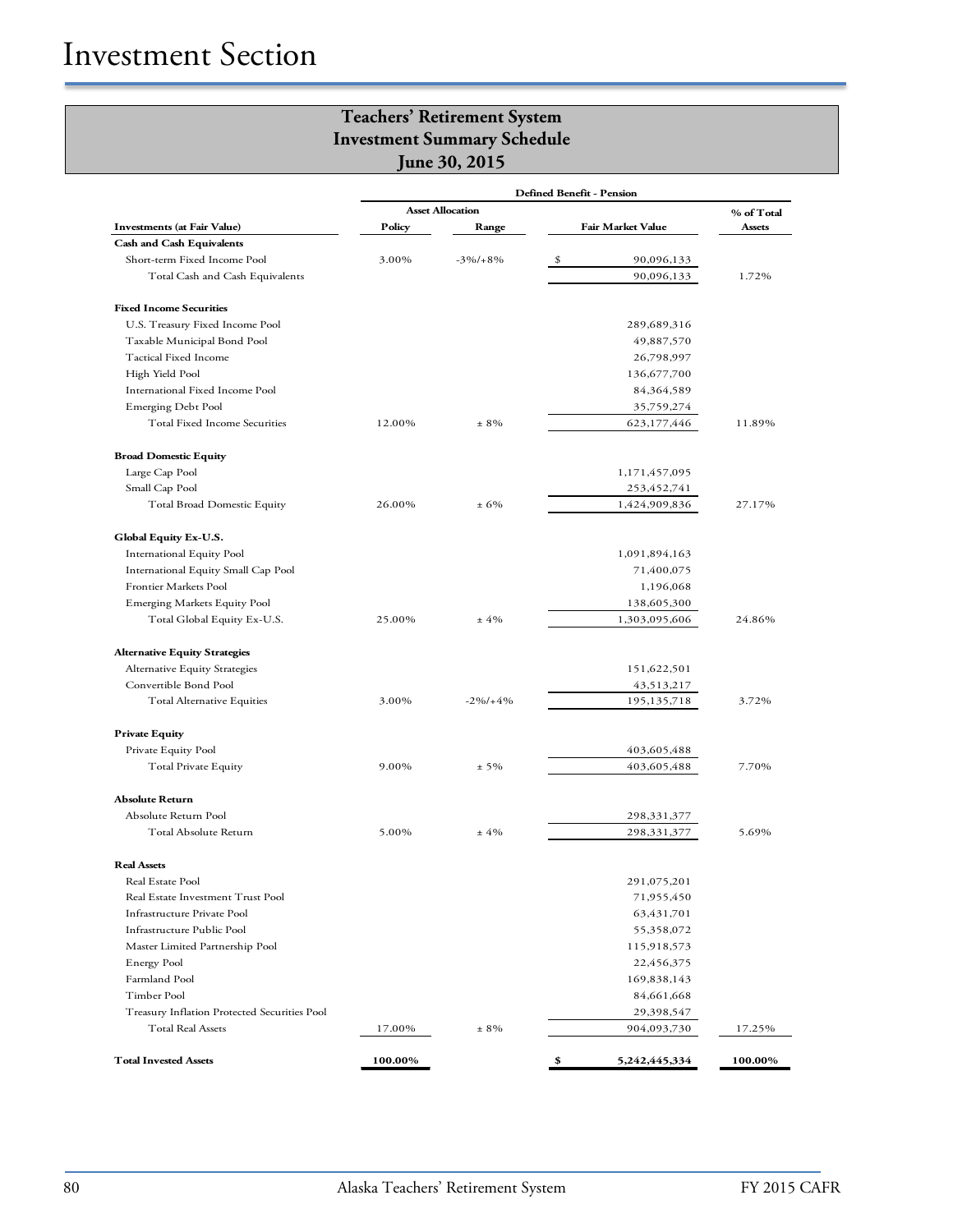|                                              |         | <b>Asset Allocation</b> |                          | % of Total    |
|----------------------------------------------|---------|-------------------------|--------------------------|---------------|
| <b>Investments (at Fair Value)</b>           | Policy  | Range                   | <b>Fair Market Value</b> | <b>Assets</b> |
| <b>Cash and Cash Equivalents</b>             |         |                         |                          |               |
| Short-term Fixed Income Pool                 | 3.00%   | $-3\%/+8\%$             | 90,096,133<br>\$         |               |
| Total Cash and Cash Equivalents              |         |                         | 90,096,133               | 1.72%         |
| <b>Fixed Income Securities</b>               |         |                         |                          |               |
| U.S. Treasury Fixed Income Pool              |         |                         | 289,689,316              |               |
| Taxable Municipal Bond Pool                  |         |                         | 49,887,570               |               |
| Tactical Fixed Income                        |         |                         | 26,798,997               |               |
| High Yield Pool                              |         |                         | 136,677,700              |               |
| International Fixed Income Pool              |         |                         | 84,364,589               |               |
| Emerging Debt Pool                           |         |                         | 35,759,274               |               |
| Total Fixed Income Securities                | 12.00%  | $± 8\%$                 | 623,177,446              | 11.89%        |
| <b>Broad Domestic Equity</b>                 |         |                         |                          |               |
| Large Cap Pool                               |         |                         | 1,171,457,095            |               |
| Small Cap Pool                               |         |                         | 253,452,741              |               |
| <b>Total Broad Domestic Equity</b>           | 26.00%  | ± 6%                    | 1,424,909,836            | 27.17%        |
| Global Equity Ex-U.S.                        |         |                         |                          |               |
| International Equity Pool                    |         |                         | 1,091,894,163            |               |
| International Equity Small Cap Pool          |         |                         | 71,400,075               |               |
| Frontier Markets Pool                        |         |                         | 1,196,068                |               |
| Emerging Markets Equity Pool                 |         |                         | 138,605,300              |               |
| Total Global Equity Ex-U.S.                  | 25.00%  | ±4%                     | 1,303,095,606            | 24.86%        |
| <b>Alternative Equity Strategies</b>         |         |                         |                          |               |
| Alternative Equity Strategies                |         |                         | 151,622,501              |               |
| Convertible Bond Pool                        |         |                         | 43,513,217               |               |
| Total Alternative Equities                   | 3.00%   | $-2\%/+4\%$             | 195, 135, 718            | 3.72%         |
| <b>Private Equity</b>                        |         |                         |                          |               |
| Private Equity Pool                          |         |                         | 403,605,488              |               |
| Total Private Equity                         | 9.00%   | $± 5\%$                 | 403,605,488              | 7.70%         |
| <b>Absolute Return</b>                       |         |                         |                          |               |
| Absolute Return Pool                         |         |                         | 298, 331, 377            |               |
| Total Absolute Return                        | 5.00%   | ±4%                     | 298,331,377              | 5.69%         |
| <b>Real Assets</b>                           |         |                         |                          |               |
| Real Estate Pool                             |         |                         | 291,075,201              |               |
| Real Estate Investment Trust Pool            |         |                         | 71,955,450               |               |
| Infrastructure Private Pool                  |         |                         | 63,431,701               |               |
| Infrastructure Public Pool                   |         |                         | 55,358,072               |               |
| Master Limited Partnership Pool              |         |                         | 115,918,573              |               |
| <b>Energy Pool</b>                           |         |                         | 22,456,375               |               |
| Farmland Pool                                |         |                         | 169,838,143              |               |
| Timber Pool                                  |         |                         | 84,661,668               |               |
| Treasury Inflation Protected Securities Pool |         |                         | 29,398,547               |               |
| Total Real Assets                            | 17.00%  | $± 8\%$                 | 904,093,730              | 17.25%        |
| <b>Total Invested Assets</b>                 | 100.00% |                         | \$<br>5,242,445,334      | 100.00%       |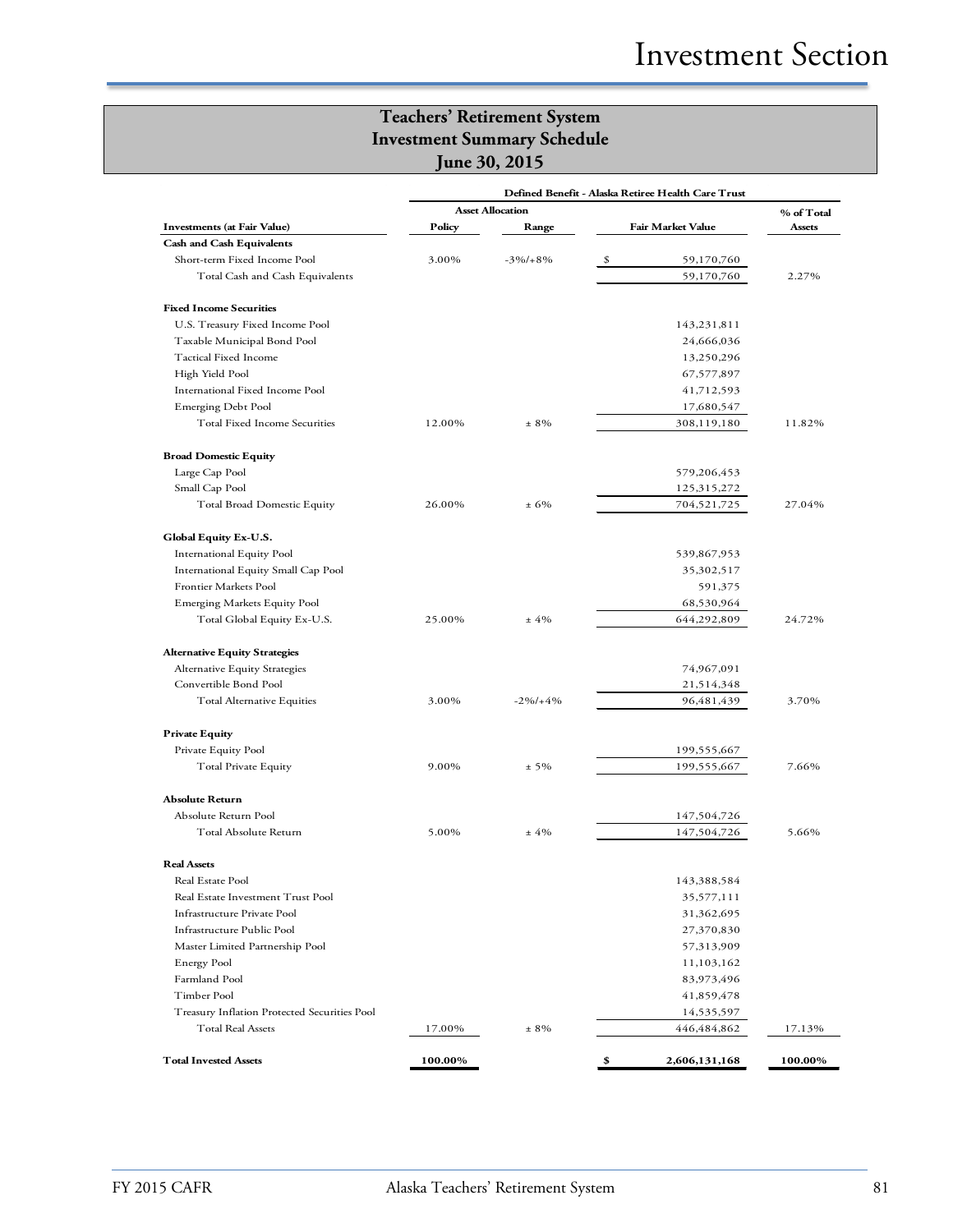|                                              |         | <b>Asset Allocation</b> |                          | % of Total |
|----------------------------------------------|---------|-------------------------|--------------------------|------------|
| <b>Investments (at Fair Value)</b>           | Policy  | Range                   | <b>Fair Market Value</b> | Assets     |
| <b>Cash and Cash Equivalents</b>             |         |                         |                          |            |
| Short-term Fixed Income Pool                 | 3.00%   | $-3\%/+8\%$             | \$<br>59,170,760         |            |
| Total Cash and Cash Equivalents              |         |                         | 59,170,760               | 2.27%      |
| <b>Fixed Income Securities</b>               |         |                         |                          |            |
| U.S. Treasury Fixed Income Pool              |         |                         | 143,231,811              |            |
| Taxable Municipal Bond Pool                  |         |                         | 24,666,036               |            |
| Tactical Fixed Income                        |         |                         | 13,250,296               |            |
| High Yield Pool                              |         |                         | 67,577,897               |            |
| International Fixed Income Pool              |         |                         | 41,712,593               |            |
| <b>Emerging Debt Pool</b>                    |         |                         | 17,680,547               |            |
| Total Fixed Income Securities                | 12.00%  | $± 8\%$                 | 308,119,180              | 11.82%     |
| <b>Broad Domestic Equity</b>                 |         |                         |                          |            |
| Large Cap Pool                               |         |                         | 579,206,453              |            |
| Small Cap Pool                               |         |                         | 125,315,272              |            |
| Total Broad Domestic Equity                  | 26.00%  | ± 6%                    | 704,521,725              | 27.04%     |
| Global Equity Ex-U.S.                        |         |                         |                          |            |
| <b>International Equity Pool</b>             |         |                         | 539,867,953              |            |
| International Equity Small Cap Pool          |         |                         | 35,302,517               |            |
| Frontier Markets Pool                        |         |                         | 591,375                  |            |
| <b>Emerging Markets Equity Pool</b>          |         |                         | 68,530,964               |            |
| Total Global Equity Ex-U.S.                  | 25.00%  | ±4%                     | 644,292,809              | 24.72%     |
| <b>Alternative Equity Strategies</b>         |         |                         |                          |            |
| Alternative Equity Strategies                |         |                         | 74,967,091               |            |
| Convertible Bond Pool                        |         |                         | 21,514,348               |            |
| Total Alternative Equities                   | 3.00%   | $-2\%/+4\%$             | 96,481,439               | 3.70%      |
| <b>Private Equity</b>                        |         |                         |                          |            |
| Private Equity Pool                          |         |                         | 199,555,667              |            |
| Total Private Equity                         | 9.00%   | $± 5\%$                 | 199,555,667              | 7.66%      |
| <b>Absolute Return</b>                       |         |                         |                          |            |
| Absolute Return Pool                         |         |                         | 147,504,726              |            |
| Total Absolute Return                        | 5.00%   | ±4%                     | 147,504,726              | 5.66%      |
| <b>Real Assets</b>                           |         |                         |                          |            |
| Real Estate Pool                             |         |                         | 143,388,584              |            |
| Real Estate Investment Trust Pool            |         |                         | 35,577,111               |            |
| Infrastructure Private Pool                  |         |                         | 31,362,695               |            |
| Infrastructure Public Pool                   |         |                         | 27,370,830               |            |
| Master Limited Partnership Pool              |         |                         | 57,313,909               |            |
| <b>Energy Pool</b>                           |         |                         | 11,103,162               |            |
| Farmland Pool                                |         |                         | 83,973,496               |            |
| Timber Pool                                  |         |                         | 41,859,478               |            |
| Treasury Inflation Protected Securities Pool |         |                         | 14,535,597               |            |
| <b>Total Real Assets</b>                     | 17.00%  | $± 8\%$                 | 446,484,862              | 17.13%     |
| <b>Total Invested Assets</b>                 | 100.00% |                         | \$<br>2,606,131,168      | 100.00%    |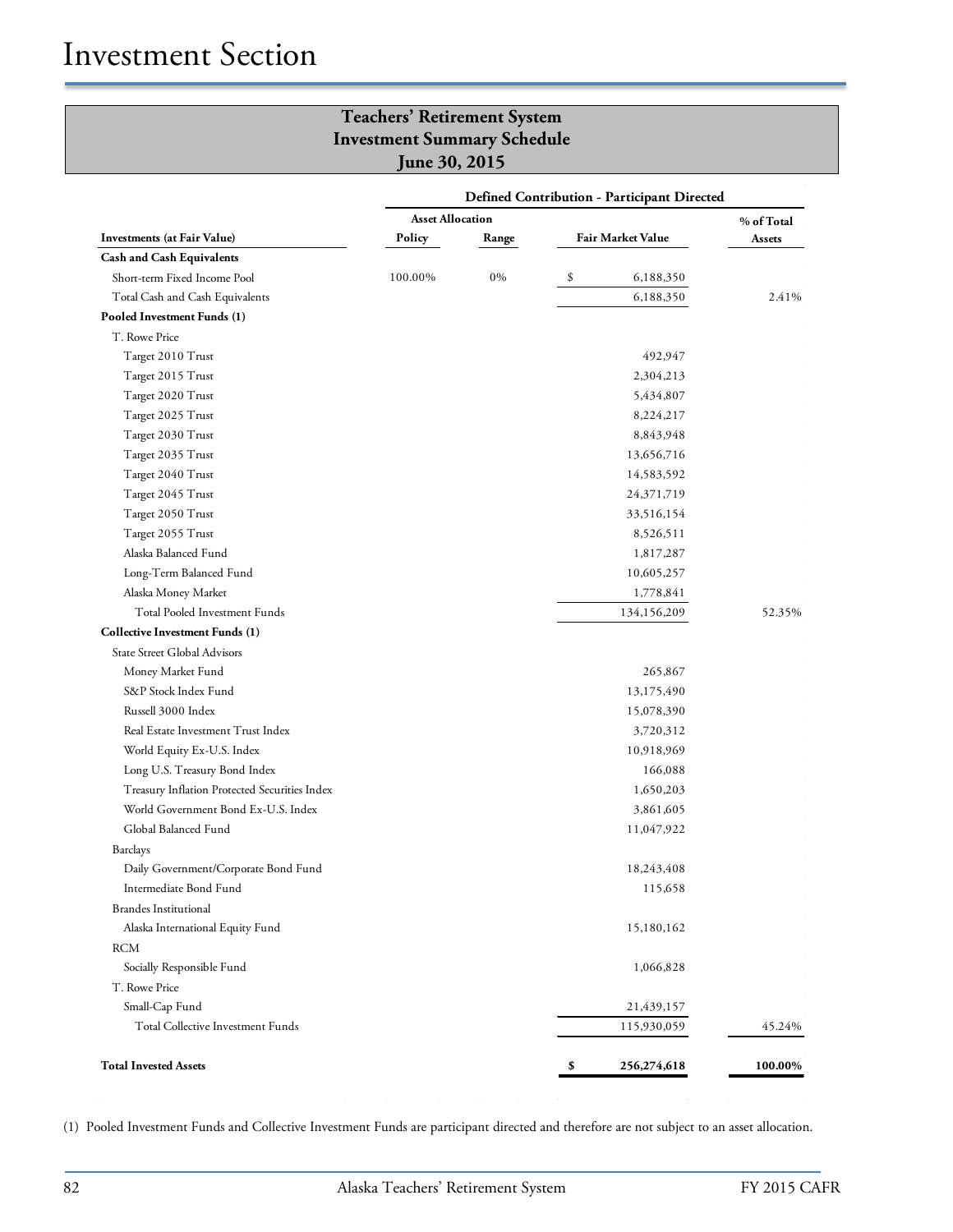|                                               | <b>Defined Contribution - Participant Directed</b> |       |    |                          |            |
|-----------------------------------------------|----------------------------------------------------|-------|----|--------------------------|------------|
|                                               | <b>Asset Allocation</b>                            |       |    |                          | % of Total |
| <b>Investments</b> (at Fair Value)            | Policy                                             | Range |    | <b>Fair Market Value</b> | Assets     |
| <b>Cash and Cash Equivalents</b>              |                                                    |       |    |                          |            |
| Short-term Fixed Income Pool                  | 100.00%                                            | 0%    | \$ | 6,188,350                |            |
| Total Cash and Cash Equivalents               |                                                    |       |    | 6,188,350                | 2.41%      |
| Pooled Investment Funds (1)                   |                                                    |       |    |                          |            |
| T. Rowe Price                                 |                                                    |       |    |                          |            |
| Target 2010 Trust                             |                                                    |       |    | 492,947                  |            |
| Target 2015 Trust                             |                                                    |       |    | 2,304,213                |            |
| Target 2020 Trust                             |                                                    |       |    | 5,434,807                |            |
| Target 2025 Trust                             |                                                    |       |    | 8,224,217                |            |
| Target 2030 Trust                             |                                                    |       |    | 8,843,948                |            |
| Target 2035 Trust                             |                                                    |       |    | 13,656,716               |            |
| Target 2040 Trust                             |                                                    |       |    | 14,583,592               |            |
| Target 2045 Trust                             |                                                    |       |    | 24,371,719               |            |
| Target 2050 Trust                             |                                                    |       |    | 33,516,154               |            |
| Target 2055 Trust                             |                                                    |       |    | 8,526,511                |            |
| Alaska Balanced Fund                          |                                                    |       |    | 1,817,287                |            |
| Long-Term Balanced Fund                       |                                                    |       |    | 10,605,257               |            |
| Alaska Money Market                           |                                                    |       |    | 1,778,841                |            |
| Total Pooled Investment Funds                 |                                                    |       |    | 134,156,209              | 52.35%     |
| <b>Collective Investment Funds (1)</b>        |                                                    |       |    |                          |            |
| State Street Global Advisors                  |                                                    |       |    |                          |            |
| Money Market Fund                             |                                                    |       |    | 265,867                  |            |
| S&P Stock Index Fund                          |                                                    |       |    | 13,175,490               |            |
| Russell 3000 Index                            |                                                    |       |    | 15,078,390               |            |
| Real Estate Investment Trust Index            |                                                    |       |    | 3,720,312                |            |
| World Equity Ex-U.S. Index                    |                                                    |       |    | 10,918,969               |            |
| Long U.S. Treasury Bond Index                 |                                                    |       |    | 166,088                  |            |
| Treasury Inflation Protected Securities Index |                                                    |       |    | 1,650,203                |            |
| World Government Bond Ex-U.S. Index           |                                                    |       |    | 3,861,605                |            |
| Global Balanced Fund                          |                                                    |       |    | 11,047,922               |            |
| <b>Barclays</b>                               |                                                    |       |    |                          |            |
| Daily Government/Corporate Bond Fund          |                                                    |       |    | 18,243,408               |            |
| Intermediate Bond Fund                        |                                                    |       |    | 115,658                  |            |
| <b>Brandes Institutional</b>                  |                                                    |       |    |                          |            |
| Alaska International Equity Fund              |                                                    |       |    | 15,180,162               |            |
| <b>RCM</b>                                    |                                                    |       |    |                          |            |
| Socially Responsible Fund                     |                                                    |       |    | 1,066,828                |            |
| T. Rowe Price                                 |                                                    |       |    |                          |            |
| Small-Cap Fund                                |                                                    |       |    | 21,439,157               |            |
| Total Collective Investment Funds             |                                                    |       |    | 115,930,059              | 45.24%     |
| <b>Total Invested Assets</b>                  |                                                    |       | \$ | 256,274,618              | 100.00%    |

(1) Pooled Investment Funds and Collective Investment Funds are participant directed and therefore are not subject to an asset allocation.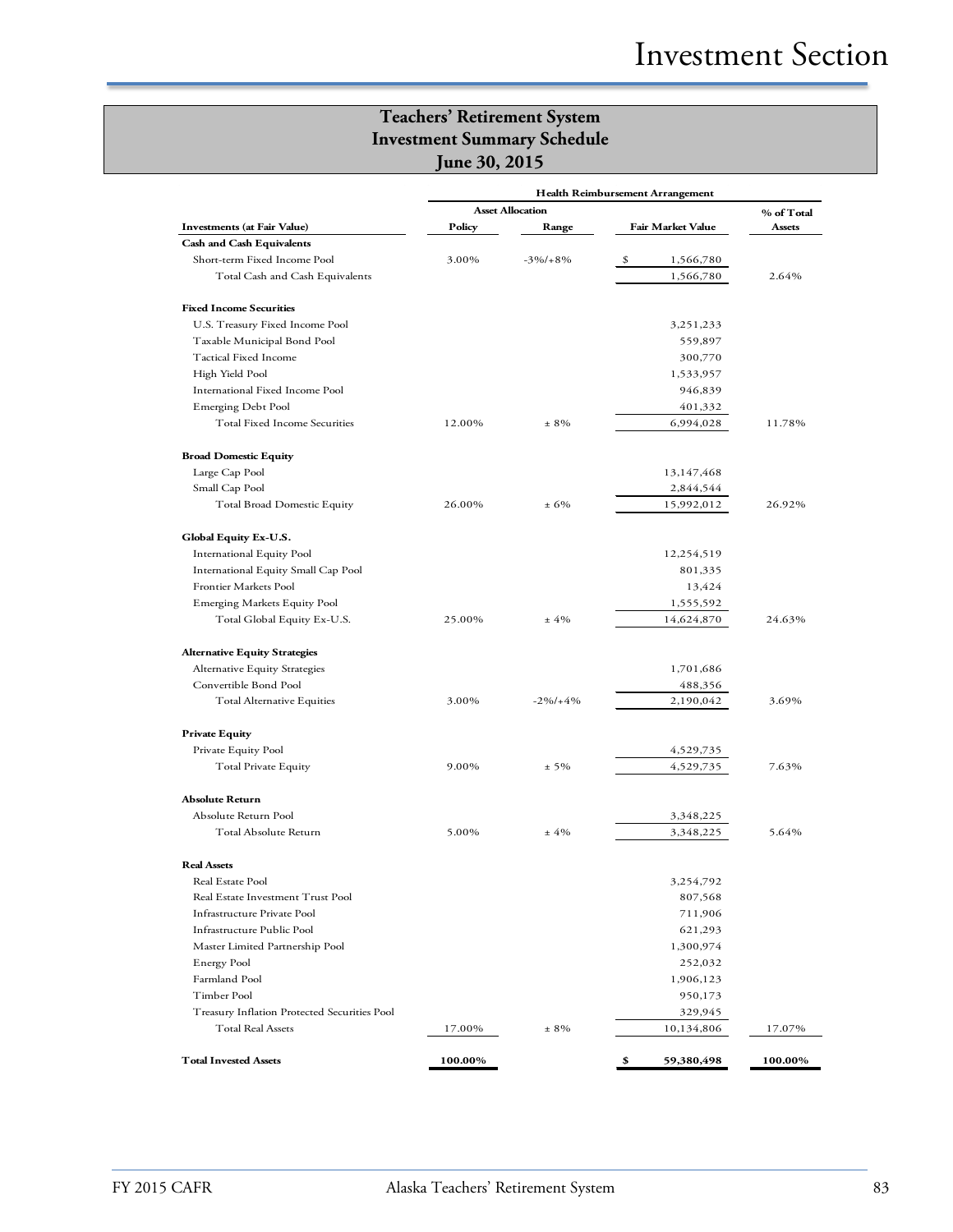|                                              | <b>Health Reimbursement Arrangement</b> |                         |                   |            |
|----------------------------------------------|-----------------------------------------|-------------------------|-------------------|------------|
|                                              |                                         | <b>Asset Allocation</b> |                   | % of Total |
| <b>Investments (at Fair Value)</b>           | Policy                                  | Range                   | Fair Market Value | Assets     |
| <b>Cash and Cash Equivalents</b>             |                                         |                         |                   |            |
| Short-term Fixed Income Pool                 | 3.00%                                   | $-3\%/+8\%$             | \$<br>1,566,780   |            |
| Total Cash and Cash Equivalents              |                                         |                         | 1,566,780         | 2.64%      |
| <b>Fixed Income Securities</b>               |                                         |                         |                   |            |
| U.S. Treasury Fixed Income Pool              |                                         |                         | 3,251,233         |            |
| Taxable Municipal Bond Pool                  |                                         |                         | 559,897           |            |
| Tactical Fixed Income                        |                                         |                         | 300,770           |            |
| High Yield Pool                              |                                         |                         | 1,533,957         |            |
| International Fixed Income Pool              |                                         |                         | 946,839           |            |
| Emerging Debt Pool                           |                                         |                         | 401,332           |            |
| Total Fixed Income Securities                | 12.00%                                  | $± 8\%$                 | 6,994,028         | 11.78%     |
| <b>Broad Domestic Equity</b>                 |                                         |                         |                   |            |
| Large Cap Pool                               |                                         |                         | 13,147,468        |            |
| Small Cap Pool                               |                                         |                         | 2,844,544         |            |
| Total Broad Domestic Equity                  | 26.00%                                  | ± 6%                    | 15,992,012        | 26.92%     |
| Global Equity Ex-U.S.                        |                                         |                         |                   |            |
| <b>International Equity Pool</b>             |                                         |                         | 12,254,519        |            |
| International Equity Small Cap Pool          |                                         |                         | 801,335           |            |
| Frontier Markets Pool                        |                                         |                         | 13,424            |            |
| Emerging Markets Equity Pool                 |                                         |                         | 1,555,592         |            |
| Total Global Equity Ex-U.S.                  | 25.00%                                  | ±4%                     | 14,624,870        | 24.63%     |
| <b>Alternative Equity Strategies</b>         |                                         |                         |                   |            |
| Alternative Equity Strategies                |                                         |                         | 1,701,686         |            |
| Convertible Bond Pool                        |                                         |                         | 488,356           |            |
| Total Alternative Equities                   | 3.00%                                   | $-2\%/+4\%$             | 2,190,042         | 3.69%      |
| <b>Private Equity</b>                        |                                         |                         |                   |            |
| Private Equity Pool                          |                                         |                         | 4,529,735         |            |
| Total Private Equity                         | 9.00%                                   | $± 5\%$                 | 4,529,735         | 7.63%      |
| <b>Absolute Return</b>                       |                                         |                         |                   |            |
| Absolute Return Pool                         |                                         |                         | 3,348,225         |            |
| Total Absolute Return                        | 5.00%                                   | ±4%                     | 3,348,225         | 5.64%      |
| <b>Real Assets</b>                           |                                         |                         |                   |            |
| Real Estate Pool                             |                                         |                         | 3,254,792         |            |
| Real Estate Investment Trust Pool            |                                         |                         | 807,568           |            |
| Infrastructure Private Pool                  |                                         |                         | 711,906           |            |
| Infrastructure Public Pool                   |                                         |                         | 621,293           |            |
| Master Limited Partnership Pool              |                                         |                         | 1,300,974         |            |
| <b>Energy Pool</b>                           |                                         |                         | 252,032           |            |
| Farmland Pool                                |                                         |                         | 1,906,123         |            |
| Timber Pool                                  |                                         |                         | 950,173           |            |
| Treasury Inflation Protected Securities Pool |                                         |                         | 329,945           |            |
| <b>Total Real Assets</b>                     | 17.00%                                  | $± 8\%$                 | 10,134,806        | 17.07%     |
| <b>Total Invested Assets</b>                 | 100.00%                                 |                         | \$<br>59,380,498  | 100.00%    |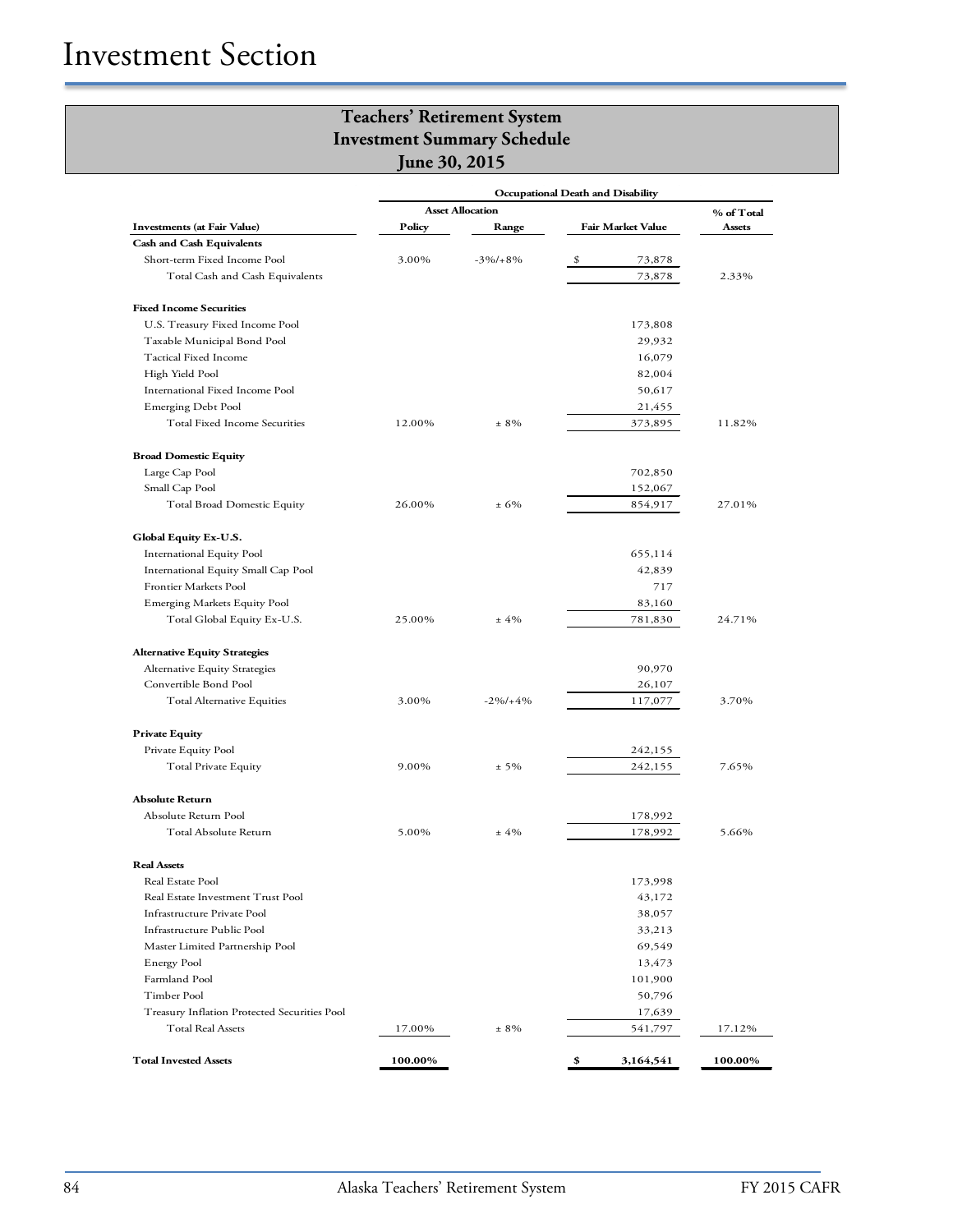|                                              | <b>Asset Allocation</b> |             |                   | % of Total |
|----------------------------------------------|-------------------------|-------------|-------------------|------------|
| <b>Investments (at Fair Value)</b>           | Policy                  | Range       | Fair Market Value | Assets     |
| <b>Cash and Cash Equivalents</b>             |                         |             |                   |            |
| Short-term Fixed Income Pool                 | 3.00%                   | $-3\%/+8\%$ | \$<br>73,878      |            |
| Total Cash and Cash Equivalents              |                         |             | 73,878            | 2.33%      |
| <b>Fixed Income Securities</b>               |                         |             |                   |            |
| U.S. Treasury Fixed Income Pool              |                         |             | 173,808           |            |
| Taxable Municipal Bond Pool                  |                         |             | 29,932            |            |
| Tactical Fixed Income                        |                         |             | 16,079            |            |
| High Yield Pool                              |                         |             | 82,004            |            |
| International Fixed Income Pool              |                         |             | 50,617            |            |
| Emerging Debt Pool                           |                         |             | 21,455            |            |
| Total Fixed Income Securities                | 12.00%                  | $± 8\%$     | 373,895           | 11.82%     |
| <b>Broad Domestic Equity</b>                 |                         |             |                   |            |
| Large Cap Pool                               |                         |             | 702,850           |            |
| Small Cap Pool                               |                         |             | 152,067           |            |
| <b>Total Broad Domestic Equity</b>           | 26.00%                  | ± 6%        | 854,917           | 27.01%     |
| Global Equity Ex-U.S.                        |                         |             |                   |            |
| International Equity Pool                    |                         |             | 655,114           |            |
| International Equity Small Cap Pool          |                         |             | 42,839            |            |
| Frontier Markets Pool                        |                         |             | 717               |            |
| Emerging Markets Equity Pool                 |                         |             | 83,160            |            |
| Total Global Equity Ex-U.S.                  | 25.00%                  | $±4\%$      | 781,830           | 24.71%     |
| <b>Alternative Equity Strategies</b>         |                         |             |                   |            |
| Alternative Equity Strategies                |                         |             | 90,970            |            |
| Convertible Bond Pool                        |                         |             | 26,107            |            |
| Total Alternative Equities                   | 3.00%                   | $-2\%/+4\%$ | 117,077           | 3.70%      |
| <b>Private Equity</b>                        |                         |             |                   |            |
| Private Equity Pool                          |                         |             | 242,155           |            |
| Total Private Equity                         | 9.00%                   | $± 5\%$     | 242,155           | 7.65%      |
| Absolute Return                              |                         |             |                   |            |
| Absolute Return Pool                         |                         |             | 178,992           |            |
| Total Absolute Return                        | 5.00%                   | ±4%         | 178,992           | 5.66%      |
| <b>Real Assets</b>                           |                         |             |                   |            |
| Real Estate Pool                             |                         |             | 173,998           |            |
| Real Estate Investment Trust Pool            |                         |             | 43,172            |            |
| Infrastructure Private Pool                  |                         |             | 38,057            |            |
| Infrastructure Public Pool                   |                         |             | 33,213            |            |
| Master Limited Partnership Pool              |                         |             | 69,549            |            |
| <b>Energy Pool</b>                           |                         |             | 13,473            |            |
| Farmland Pool                                |                         |             | 101,900           |            |
| Timber Pool                                  |                         |             | 50,796            |            |
| Treasury Inflation Protected Securities Pool |                         |             | 17,639            |            |
| Total Real Assets                            | 17.00%                  | $± 8\%$     | 541,797           | 17.12%     |
| <b>Total Invested Assets</b>                 | 100.00%                 |             | \$<br>3,164,541   | 100.00%    |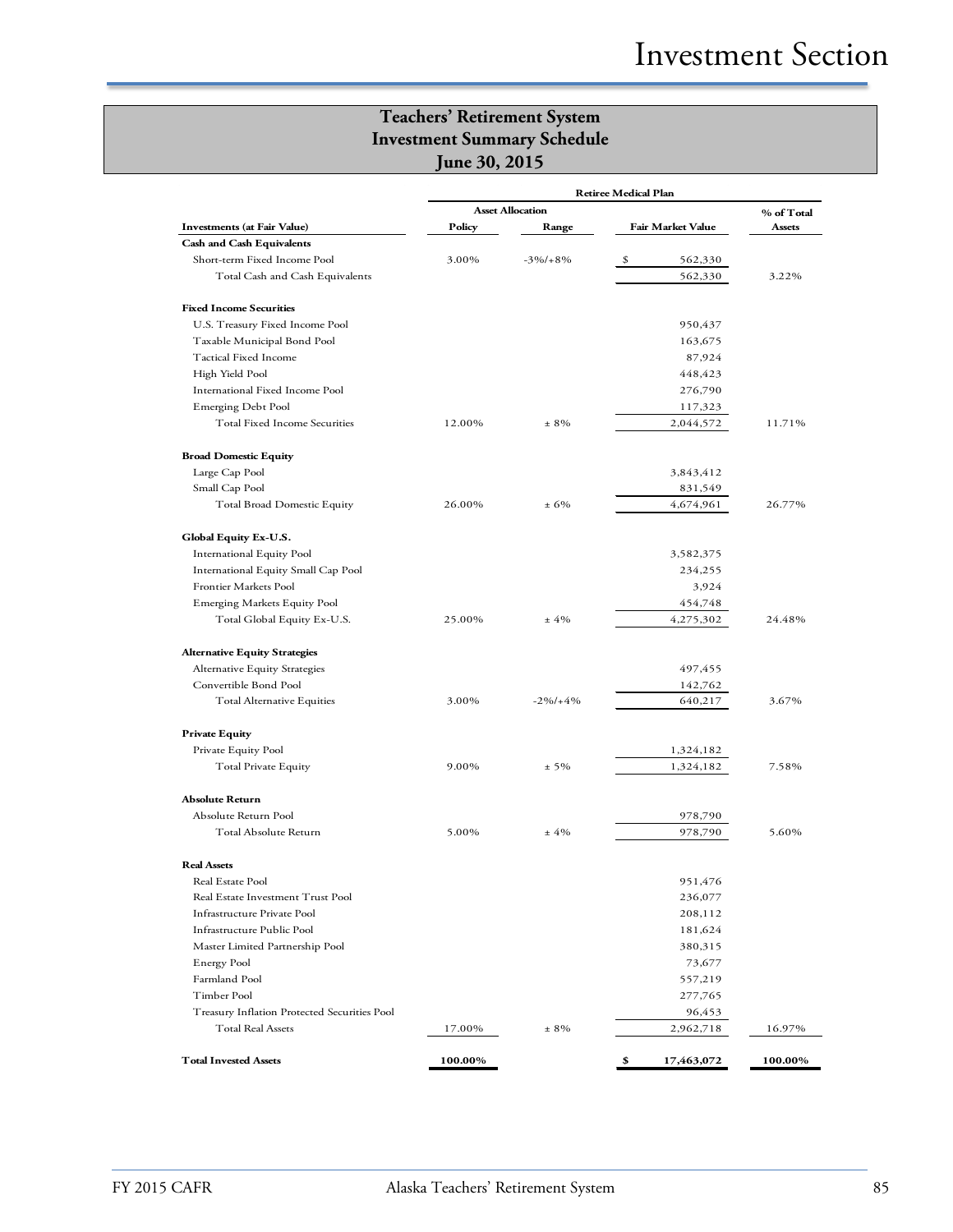| <b>Investments (at Fair Value)</b>           |         |                         |                   |                      |
|----------------------------------------------|---------|-------------------------|-------------------|----------------------|
|                                              |         | <b>Asset Allocation</b> |                   | % of Total<br>Assets |
|                                              | Policy  | Range                   | Fair Market Value |                      |
| <b>Cash and Cash Equivalents</b>             |         |                         |                   |                      |
| Short-term Fixed Income Pool                 | 3.00%   | $-3\%/+8\%$             | -\$<br>562,330    |                      |
| Total Cash and Cash Equivalents              |         |                         | 562,330           | 3.22%                |
| <b>Fixed Income Securities</b>               |         |                         |                   |                      |
| U.S. Treasury Fixed Income Pool              |         |                         | 950,437           |                      |
| Taxable Municipal Bond Pool                  |         |                         | 163,675           |                      |
| Tactical Fixed Income                        |         |                         | 87,924            |                      |
| High Yield Pool                              |         |                         | 448,423           |                      |
| International Fixed Income Pool              |         |                         | 276,790           |                      |
| <b>Emerging Debt Pool</b>                    |         |                         | 117,323           |                      |
| Total Fixed Income Securities                | 12.00%  | $± 8\%$                 | 2,044,572         | 11.71%               |
| <b>Broad Domestic Equity</b>                 |         |                         |                   |                      |
| Large Cap Pool                               |         |                         | 3,843,412         |                      |
| Small Cap Pool                               |         |                         | 831,549           |                      |
| <b>Total Broad Domestic Equity</b>           | 26.00%  | ± 6%                    | 4,674,961         | 26.77%               |
| Global Equity Ex-U.S.                        |         |                         |                   |                      |
| <b>International Equity Pool</b>             |         |                         | 3,582,375         |                      |
| International Equity Small Cap Pool          |         |                         | 234,255           |                      |
| Frontier Markets Pool                        |         |                         | 3,924             |                      |
| <b>Emerging Markets Equity Pool</b>          |         |                         | 454,748           |                      |
| Total Global Equity Ex-U.S.                  | 25.00%  | ±4%                     | 4,275,302         | 24.48%               |
| <b>Alternative Equity Strategies</b>         |         |                         |                   |                      |
| Alternative Equity Strategies                |         |                         | 497,455           |                      |
| Convertible Bond Pool                        |         |                         | 142,762           |                      |
| Total Alternative Equities                   | 3.00%   | $-2\%/+4\%$             | 640,217           | 3.67%                |
| <b>Private Equity</b>                        |         |                         |                   |                      |
| Private Equity Pool                          |         |                         | 1,324,182         |                      |
| Total Private Equity                         | 9.00%   | $± 5\%$                 | 1,324,182         | 7.58%                |
| <b>Absolute Return</b>                       |         |                         |                   |                      |
| Absolute Return Pool                         |         |                         | 978,790           |                      |
| Total Absolute Return                        | 5.00%   | ±4%                     | 978,790           | 5.60%                |
| <b>Real Assets</b>                           |         |                         |                   |                      |
| Real Estate Pool                             |         |                         | 951,476           |                      |
| Real Estate Investment Trust Pool            |         |                         | 236,077           |                      |
| Infrastructure Private Pool                  |         |                         | 208,112           |                      |
| Infrastructure Public Pool                   |         |                         | 181,624           |                      |
| Master Limited Partnership Pool              |         |                         | 380,315           |                      |
| Energy Pool                                  |         |                         | 73,677            |                      |
| Farmland Pool                                |         |                         | 557,219           |                      |
| Timber Pool                                  |         |                         | 277,765           |                      |
| Treasury Inflation Protected Securities Pool |         |                         | 96,453            |                      |
| <b>Total Real Assets</b>                     | 17.00%  | $± 8\%$                 | 2,962,718         | 16.97%               |
| <b>Total Invested Assets</b>                 | 100.00% |                         | \$<br>17,463,072  | 100.00%              |